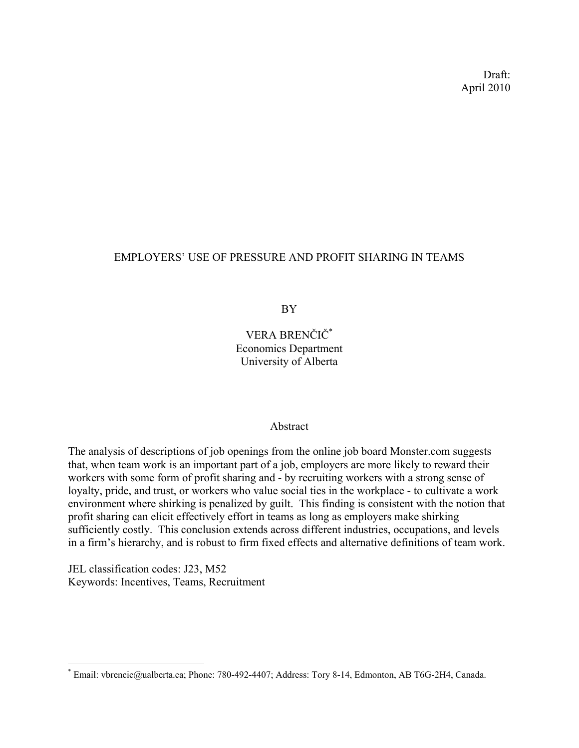Draft: April 2010

# EMPLOYERS' USE OF PRESSURE AND PROFIT SHARING IN TEAMS

BY

VERA BRENČIČ\* Economics Department University of Alberta

## Abstract

The analysis of descriptions of job openings from the online job board Monster.com suggests that, when team work is an important part of a job, employers are more likely to reward their workers with some form of profit sharing and - by recruiting workers with a strong sense of loyalty, pride, and trust, or workers who value social ties in the workplace - to cultivate a work environment where shirking is penalized by guilt. This finding is consistent with the notion that profit sharing can elicit effectively effort in teams as long as employers make shirking sufficiently costly. This conclusion extends across different industries, occupations, and levels in a firm's hierarchy, and is robust to firm fixed effects and alternative definitions of team work.

JEL classification codes: J23, M52 Keywords: Incentives, Teams, Recruitment

<u>.</u>

<sup>\*</sup> Email: vbrencic@ualberta.ca; Phone: 780-492-4407; Address: Tory 8-14, Edmonton, AB T6G-2H4, Canada.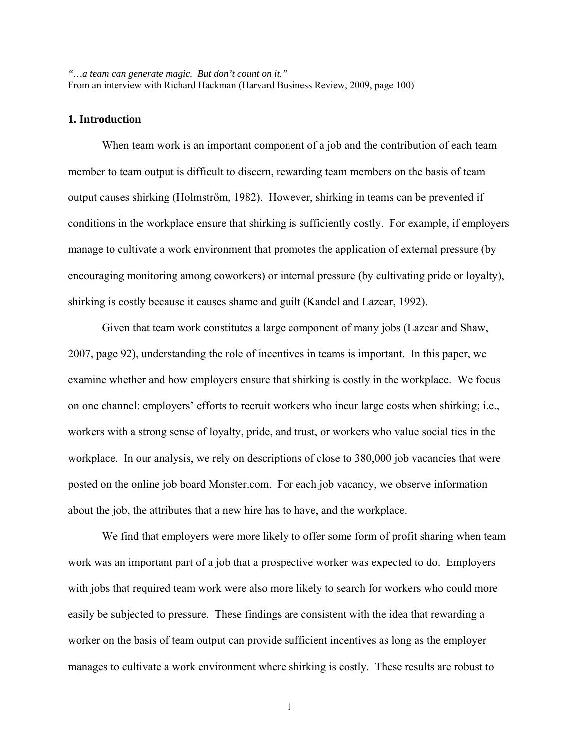*"…a team can generate magic. But don't count on it."*  From an interview with Richard Hackman (Harvard Business Review, 2009, page 100)

#### **1. Introduction**

When team work is an important component of a job and the contribution of each team member to team output is difficult to discern, rewarding team members on the basis of team output causes shirking (Holmström, 1982). However, shirking in teams can be prevented if conditions in the workplace ensure that shirking is sufficiently costly. For example, if employers manage to cultivate a work environment that promotes the application of external pressure (by encouraging monitoring among coworkers) or internal pressure (by cultivating pride or loyalty), shirking is costly because it causes shame and guilt (Kandel and Lazear, 1992).

Given that team work constitutes a large component of many jobs (Lazear and Shaw, 2007, page 92), understanding the role of incentives in teams is important. In this paper, we examine whether and how employers ensure that shirking is costly in the workplace. We focus on one channel: employers' efforts to recruit workers who incur large costs when shirking; i.e., workers with a strong sense of loyalty, pride, and trust, or workers who value social ties in the workplace. In our analysis, we rely on descriptions of close to 380,000 job vacancies that were posted on the online job board Monster.com. For each job vacancy, we observe information about the job, the attributes that a new hire has to have, and the workplace.

We find that employers were more likely to offer some form of profit sharing when team work was an important part of a job that a prospective worker was expected to do. Employers with jobs that required team work were also more likely to search for workers who could more easily be subjected to pressure. These findings are consistent with the idea that rewarding a worker on the basis of team output can provide sufficient incentives as long as the employer manages to cultivate a work environment where shirking is costly. These results are robust to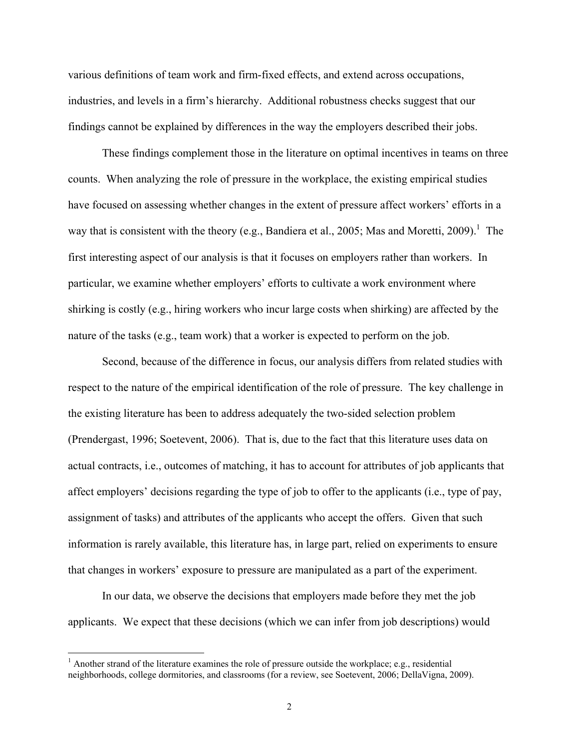various definitions of team work and firm-fixed effects, and extend across occupations, industries, and levels in a firm's hierarchy. Additional robustness checks suggest that our findings cannot be explained by differences in the way the employers described their jobs.

These findings complement those in the literature on optimal incentives in teams on three counts. When analyzing the role of pressure in the workplace, the existing empirical studies have focused on assessing whether changes in the extent of pressure affect workers' efforts in a way that is consistent with the theory (e.g., Bandiera et al., 2005; Mas and Moretti, 2009).<sup>1</sup> The first interesting aspect of our analysis is that it focuses on employers rather than workers. In particular, we examine whether employers' efforts to cultivate a work environment where shirking is costly (e.g., hiring workers who incur large costs when shirking) are affected by the nature of the tasks (e.g., team work) that a worker is expected to perform on the job.

Second, because of the difference in focus, our analysis differs from related studies with respect to the nature of the empirical identification of the role of pressure. The key challenge in the existing literature has been to address adequately the two-sided selection problem (Prendergast, 1996; Soetevent, 2006). That is, due to the fact that this literature uses data on actual contracts, i.e., outcomes of matching, it has to account for attributes of job applicants that affect employers' decisions regarding the type of job to offer to the applicants (i.e., type of pay, assignment of tasks) and attributes of the applicants who accept the offers. Given that such information is rarely available, this literature has, in large part, relied on experiments to ensure that changes in workers' exposure to pressure are manipulated as a part of the experiment.

In our data, we observe the decisions that employers made before they met the job applicants. We expect that these decisions (which we can infer from job descriptions) would

 $<sup>1</sup>$  Another strand of the literature examines the role of pressure outside the workplace; e.g., residential</sup> neighborhoods, college dormitories, and classrooms (for a review, see Soetevent, 2006; DellaVigna, 2009).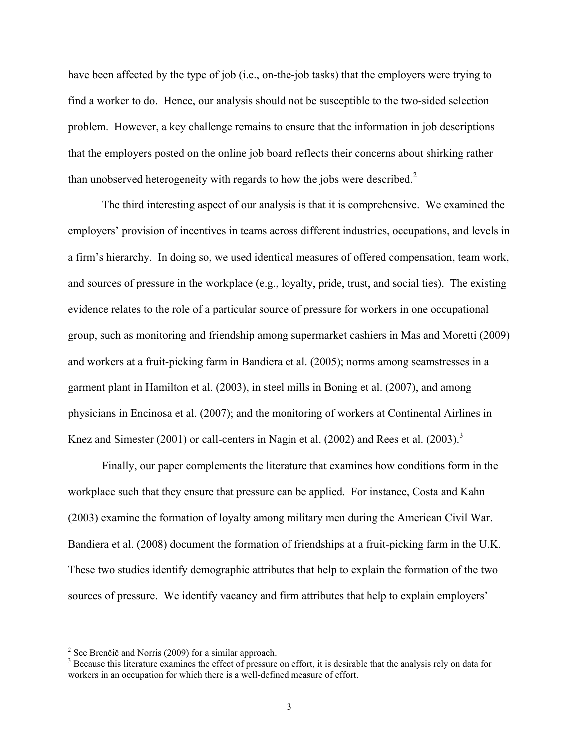have been affected by the type of job (i.e., on-the-job tasks) that the employers were trying to find a worker to do. Hence, our analysis should not be susceptible to the two-sided selection problem. However, a key challenge remains to ensure that the information in job descriptions that the employers posted on the online job board reflects their concerns about shirking rather than unobserved heterogeneity with regards to how the jobs were described.<sup>2</sup>

The third interesting aspect of our analysis is that it is comprehensive. We examined the employers' provision of incentives in teams across different industries, occupations, and levels in a firm's hierarchy. In doing so, we used identical measures of offered compensation, team work, and sources of pressure in the workplace (e.g., loyalty, pride, trust, and social ties). The existing evidence relates to the role of a particular source of pressure for workers in one occupational group, such as monitoring and friendship among supermarket cashiers in Mas and Moretti (2009) and workers at a fruit-picking farm in Bandiera et al. (2005); norms among seamstresses in a garment plant in Hamilton et al. (2003), in steel mills in Boning et al. (2007), and among physicians in Encinosa et al. (2007); and the monitoring of workers at Continental Airlines in Knez and Simester (2001) or call-centers in Nagin et al. (2002) and Rees et al. (2003).<sup>3</sup>

Finally, our paper complements the literature that examines how conditions form in the workplace such that they ensure that pressure can be applied. For instance, Costa and Kahn (2003) examine the formation of loyalty among military men during the American Civil War. Bandiera et al. (2008) document the formation of friendships at a fruit-picking farm in the U.K. These two studies identify demographic attributes that help to explain the formation of the two sources of pressure. We identify vacancy and firm attributes that help to explain employers'

<sup>&</sup>lt;sup>2</sup> See Brenčič and Norris (2009) for a similar approach.

<sup>&</sup>lt;sup>3</sup> Because this literature examines the effect of pressure on effort, it is desirable that the analysis rely on data for workers in an occupation for which there is a well-defined measure of effort.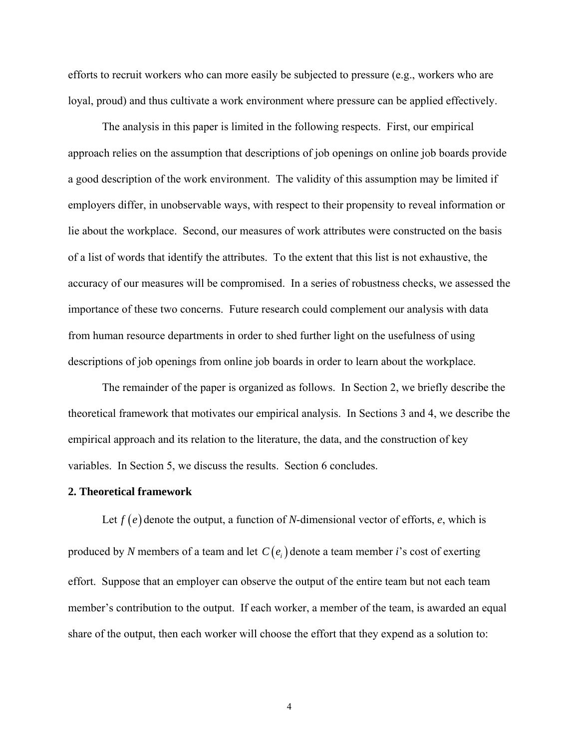efforts to recruit workers who can more easily be subjected to pressure (e.g., workers who are loyal, proud) and thus cultivate a work environment where pressure can be applied effectively.

The analysis in this paper is limited in the following respects. First, our empirical approach relies on the assumption that descriptions of job openings on online job boards provide a good description of the work environment. The validity of this assumption may be limited if employers differ, in unobservable ways, with respect to their propensity to reveal information or lie about the workplace. Second, our measures of work attributes were constructed on the basis of a list of words that identify the attributes. To the extent that this list is not exhaustive, the accuracy of our measures will be compromised. In a series of robustness checks, we assessed the importance of these two concerns. Future research could complement our analysis with data from human resource departments in order to shed further light on the usefulness of using descriptions of job openings from online job boards in order to learn about the workplace.

 The remainder of the paper is organized as follows. In Section 2, we briefly describe the theoretical framework that motivates our empirical analysis. In Sections 3 and 4, we describe the empirical approach and its relation to the literature, the data, and the construction of key variables. In Section 5, we discuss the results. Section 6 concludes.

#### **2. Theoretical framework**

Let  $f(e)$  denote the output, a function of *N*-dimensional vector of efforts,  $e$ , which is produced by *N* members of a team and let  $C(e_i)$  denote a team member *i*'s cost of exerting effort. Suppose that an employer can observe the output of the entire team but not each team member's contribution to the output. If each worker, a member of the team, is awarded an equal share of the output, then each worker will choose the effort that they expend as a solution to: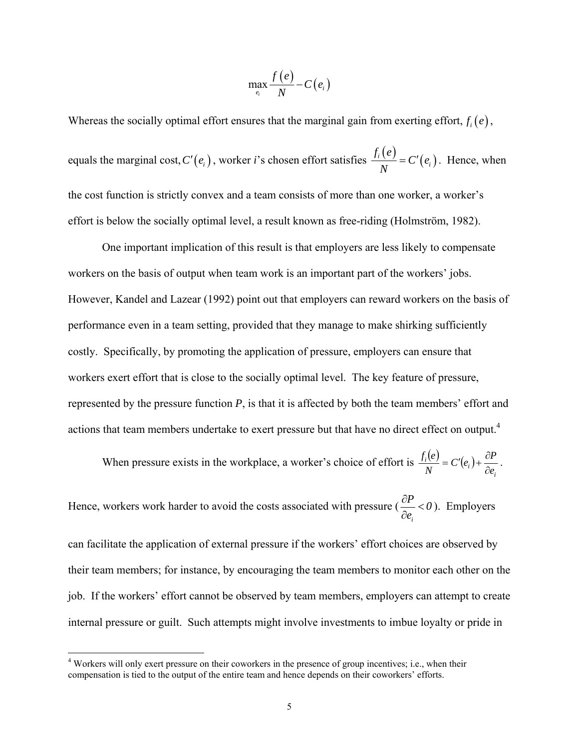$$
\max_{e_i} \frac{f(e)}{N} - C(e_i)
$$

Whereas the socially optimal effort ensures that the marginal gain from exerting effort,  $f_i(e)$ , equals the marginal cost,  $C'(e_i)$ , worker *i*'s chosen effort satisfies  $\frac{f_i(e)}{N} = C'(e_i)$ . Hence, when the cost function is strictly convex and a team consists of more than one worker, a worker's effort is below the socially optimal level, a result known as free-riding (Holmström, 1982).

 One important implication of this result is that employers are less likely to compensate workers on the basis of output when team work is an important part of the workers' jobs. However, Kandel and Lazear (1992) point out that employers can reward workers on the basis of performance even in a team setting, provided that they manage to make shirking sufficiently costly. Specifically, by promoting the application of pressure, employers can ensure that workers exert effort that is close to the socially optimal level. The key feature of pressure, represented by the pressure function *P*, is that it is affected by both the team members' effort and actions that team members undertake to exert pressure but that have no direct effect on output.<sup>4</sup>

When pressure exists in the workplace, a worker's choice of effort is  $\frac{f_i(e)}{f_i(e)} = C'(e_i)$ *i*  $\frac{i}{\lambda I}$  =  $C'(e_i)$ *e*  $C'(e_i) + \frac{\partial P}{\partial x_i}$ *N f e* ∂  $= C'(e_i) + \frac{\partial P}{\partial z}.$ 

Hence, workers work harder to avoid the costs associated with pressure ( *i*  $\frac{P}{\rho}$  < 0 *e*  $\frac{\partial P}{\partial e_i}$  < 0). Employers

can facilitate the application of external pressure if the workers' effort choices are observed by their team members; for instance, by encouraging the team members to monitor each other on the job. If the workers' effort cannot be observed by team members, employers can attempt to create internal pressure or guilt. Such attempts might involve investments to imbue loyalty or pride in

<sup>&</sup>lt;sup>4</sup> Workers will only exert pressure on their coworkers in the presence of group incentives; i.e., when their compensation is tied to the output of the entire team and hence depends on their coworkers' efforts.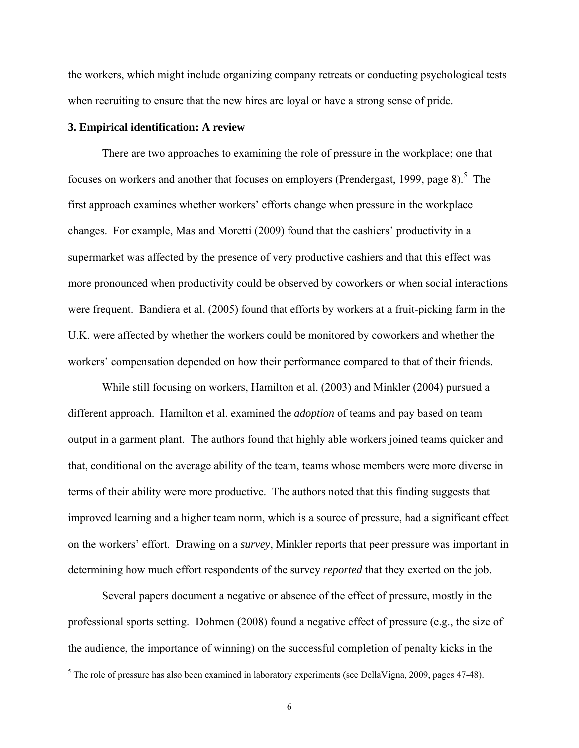the workers, which might include organizing company retreats or conducting psychological tests when recruiting to ensure that the new hires are loyal or have a strong sense of pride.

#### **3. Empirical identification: A review**

 $\overline{a}$ 

 There are two approaches to examining the role of pressure in the workplace; one that focuses on workers and another that focuses on employers (Prendergast, 1999, page 8).<sup>5</sup> The first approach examines whether workers' efforts change when pressure in the workplace changes. For example, Mas and Moretti (2009) found that the cashiers' productivity in a supermarket was affected by the presence of very productive cashiers and that this effect was more pronounced when productivity could be observed by coworkers or when social interactions were frequent. Bandiera et al. (2005) found that efforts by workers at a fruit-picking farm in the U.K. were affected by whether the workers could be monitored by coworkers and whether the workers' compensation depended on how their performance compared to that of their friends.

 While still focusing on workers, Hamilton et al. (2003) and Minkler (2004) pursued a different approach. Hamilton et al. examined the *adoption* of teams and pay based on team output in a garment plant. The authors found that highly able workers joined teams quicker and that, conditional on the average ability of the team, teams whose members were more diverse in terms of their ability were more productive. The authors noted that this finding suggests that improved learning and a higher team norm, which is a source of pressure, had a significant effect on the workers' effort. Drawing on a *survey*, Minkler reports that peer pressure was important in determining how much effort respondents of the survey *reported* that they exerted on the job.

 Several papers document a negative or absence of the effect of pressure, mostly in the professional sports setting. Dohmen (2008) found a negative effect of pressure (e.g., the size of the audience, the importance of winning) on the successful completion of penalty kicks in the

 $<sup>5</sup>$  The role of pressure has also been examined in laboratory experiments (see DellaVigna, 2009, pages 47-48).</sup>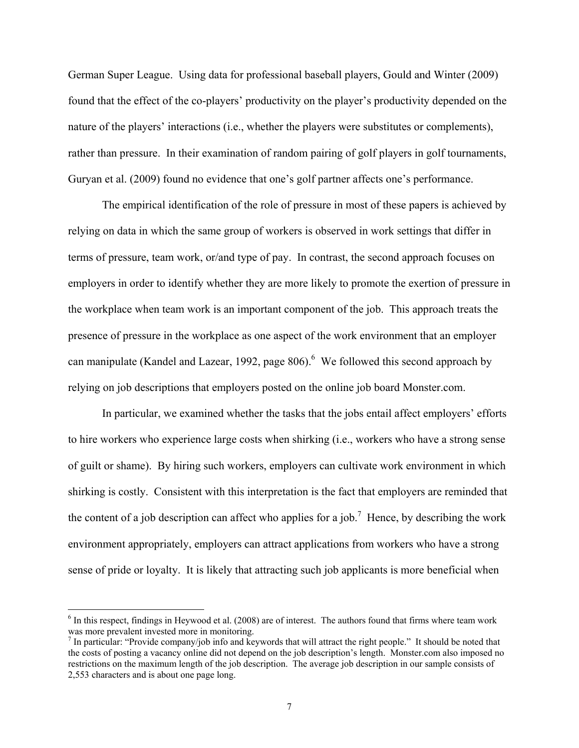German Super League. Using data for professional baseball players, Gould and Winter (2009) found that the effect of the co-players' productivity on the player's productivity depended on the nature of the players' interactions (i.e., whether the players were substitutes or complements), rather than pressure. In their examination of random pairing of golf players in golf tournaments, Guryan et al. (2009) found no evidence that one's golf partner affects one's performance.

 The empirical identification of the role of pressure in most of these papers is achieved by relying on data in which the same group of workers is observed in work settings that differ in terms of pressure, team work, or/and type of pay. In contrast, the second approach focuses on employers in order to identify whether they are more likely to promote the exertion of pressure in the workplace when team work is an important component of the job. This approach treats the presence of pressure in the workplace as one aspect of the work environment that an employer can manipulate (Kandel and Lazear, 1992, page  $806$ ).<sup>6</sup> We followed this second approach by relying on job descriptions that employers posted on the online job board Monster.com.

 In particular, we examined whether the tasks that the jobs entail affect employers' efforts to hire workers who experience large costs when shirking (i.e., workers who have a strong sense of guilt or shame). By hiring such workers, employers can cultivate work environment in which shirking is costly. Consistent with this interpretation is the fact that employers are reminded that the content of a job description can affect who applies for a job.<sup>7</sup> Hence, by describing the work environment appropriately, employers can attract applications from workers who have a strong sense of pride or loyalty. It is likely that attracting such job applicants is more beneficial when

 $\overline{a}$ 

 $6$  In this respect, findings in Heywood et al. (2008) are of interest. The authors found that firms where team work was more prevalent invested more in monitoring.

 $<sup>7</sup>$  In particular: "Provide company/job info and keywords that will attract the right people." It should be noted that</sup> the costs of posting a vacancy online did not depend on the job description's length. Monster.com also imposed no restrictions on the maximum length of the job description. The average job description in our sample consists of 2,553 characters and is about one page long.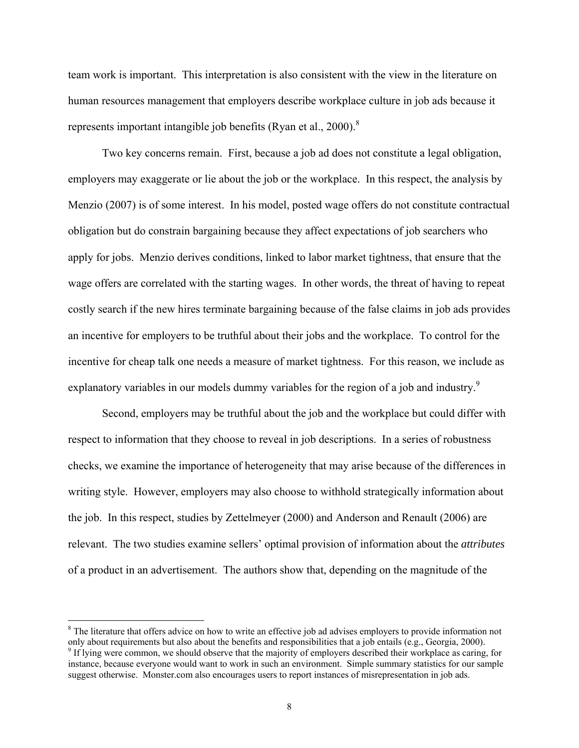team work is important. This interpretation is also consistent with the view in the literature on human resources management that employers describe workplace culture in job ads because it represents important intangible job benefits (Ryan et al., 2000).<sup>8</sup>

 Two key concerns remain. First, because a job ad does not constitute a legal obligation, employers may exaggerate or lie about the job or the workplace. In this respect, the analysis by Menzio (2007) is of some interest. In his model, posted wage offers do not constitute contractual obligation but do constrain bargaining because they affect expectations of job searchers who apply for jobs. Menzio derives conditions, linked to labor market tightness, that ensure that the wage offers are correlated with the starting wages. In other words, the threat of having to repeat costly search if the new hires terminate bargaining because of the false claims in job ads provides an incentive for employers to be truthful about their jobs and the workplace. To control for the incentive for cheap talk one needs a measure of market tightness. For this reason, we include as explanatory variables in our models dummy variables for the region of a job and industry.<sup>9</sup>

Second, employers may be truthful about the job and the workplace but could differ with respect to information that they choose to reveal in job descriptions. In a series of robustness checks, we examine the importance of heterogeneity that may arise because of the differences in writing style. However, employers may also choose to withhold strategically information about the job. In this respect, studies by Zettelmeyer (2000) and Anderson and Renault (2006) are relevant. The two studies examine sellers' optimal provision of information about the *attributes* of a product in an advertisement. The authors show that, depending on the magnitude of the

<sup>&</sup>lt;sup>8</sup> The literature that offers advice on how to write an effective job ad advises employers to provide information not only about requirements but also about the benefits and responsibilities that a job entails (e.g., Georgia, 2000).

<sup>&</sup>lt;sup>9</sup> If lying were common, we should observe that the majority of employers described their workplace as caring, for instance, because everyone would want to work in such an environment. Simple summary statistics for our sample suggest otherwise. Monster.com also encourages users to report instances of misrepresentation in job ads.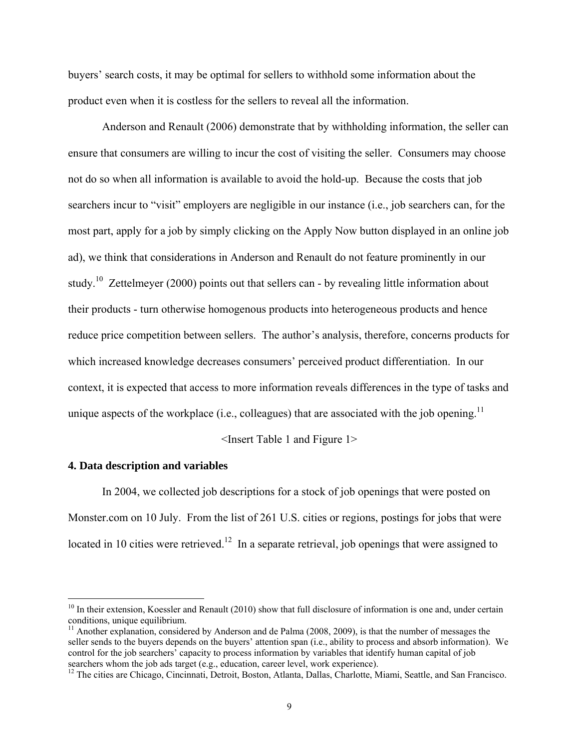buyers' search costs, it may be optimal for sellers to withhold some information about the product even when it is costless for the sellers to reveal all the information.

Anderson and Renault (2006) demonstrate that by withholding information, the seller can ensure that consumers are willing to incur the cost of visiting the seller. Consumers may choose not do so when all information is available to avoid the hold-up. Because the costs that job searchers incur to "visit" employers are negligible in our instance (i.e., job searchers can, for the most part, apply for a job by simply clicking on the Apply Now button displayed in an online job ad), we think that considerations in Anderson and Renault do not feature prominently in our study.<sup>10</sup> Zettelmeyer (2000) points out that sellers can - by revealing little information about their products - turn otherwise homogenous products into heterogeneous products and hence reduce price competition between sellers. The author's analysis, therefore, concerns products for which increased knowledge decreases consumers' perceived product differentiation. In our context, it is expected that access to more information reveals differences in the type of tasks and unique aspects of the workplace (i.e., colleagues) that are associated with the job opening.<sup>11</sup>

<Insert Table 1 and Figure 1>

#### **4. Data description and variables**

 $\overline{a}$ 

In 2004, we collected job descriptions for a stock of job openings that were posted on Monster.com on 10 July. From the list of 261 U.S. cities or regions, postings for jobs that were located in 10 cities were retrieved.<sup>12</sup> In a separate retrieval, job openings that were assigned to

<sup>&</sup>lt;sup>10</sup> In their extension, Koessler and Renault (2010) show that full disclosure of information is one and, under certain conditions, unique equilibrium.

<sup>&</sup>lt;sup>11</sup> Another explanation, considered by Anderson and de Palma  $(2008, 2009)$ , is that the number of messages the seller sends to the buyers depends on the buyers' attention span (i.e., ability to process and absorb information). We control for the job searchers' capacity to process information by variables that identify human capital of job searchers whom the job ads target (e.g., education, career level, work experience).<br><sup>12</sup> The cities are Chicago, Cincinnati, Detroit, Boston, Atlanta, Dallas, Charlotte, Miami, Seattle, and San Francisco.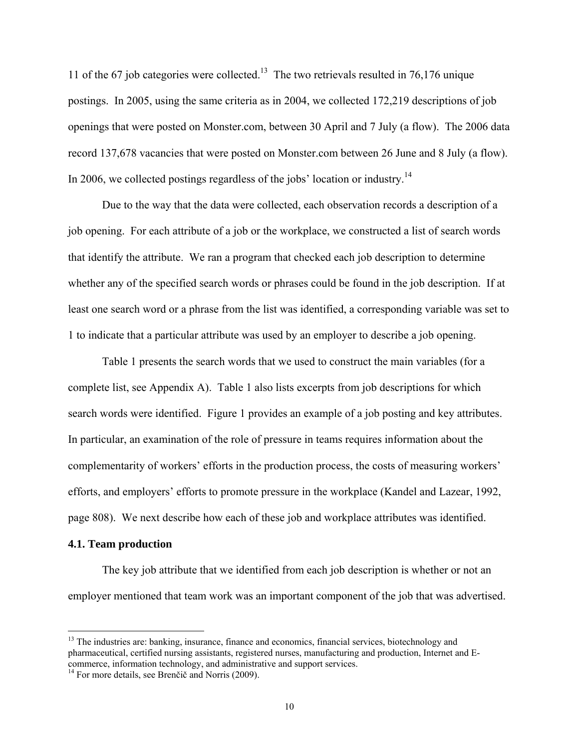11 of the 67 job categories were collected.<sup>13</sup> The two retrievals resulted in 76,176 unique postings. In 2005, using the same criteria as in 2004, we collected 172,219 descriptions of job openings that were posted on Monster.com, between 30 April and 7 July (a flow). The 2006 data record 137,678 vacancies that were posted on Monster.com between 26 June and 8 July (a flow). In 2006, we collected postings regardless of the jobs' location or industry.<sup>14</sup>

Due to the way that the data were collected, each observation records a description of a job opening. For each attribute of a job or the workplace, we constructed a list of search words that identify the attribute. We ran a program that checked each job description to determine whether any of the specified search words or phrases could be found in the job description. If at least one search word or a phrase from the list was identified, a corresponding variable was set to 1 to indicate that a particular attribute was used by an employer to describe a job opening.

Table 1 presents the search words that we used to construct the main variables (for a complete list, see Appendix A). Table 1 also lists excerpts from job descriptions for which search words were identified. Figure 1 provides an example of a job posting and key attributes. In particular, an examination of the role of pressure in teams requires information about the complementarity of workers' efforts in the production process, the costs of measuring workers' efforts, and employers' efforts to promote pressure in the workplace (Kandel and Lazear, 1992, page 808). We next describe how each of these job and workplace attributes was identified.

#### **4.1. Team production**

 $\overline{a}$ 

The key job attribute that we identified from each job description is whether or not an employer mentioned that team work was an important component of the job that was advertised.

<sup>&</sup>lt;sup>13</sup> The industries are: banking, insurance, finance and economics, financial services, biotechnology and pharmaceutical, certified nursing assistants, registered nurses, manufacturing and production, Internet and Ecommerce, information technology, and administrative and support services. 14 For more details, see Brenčič and Norris (2009).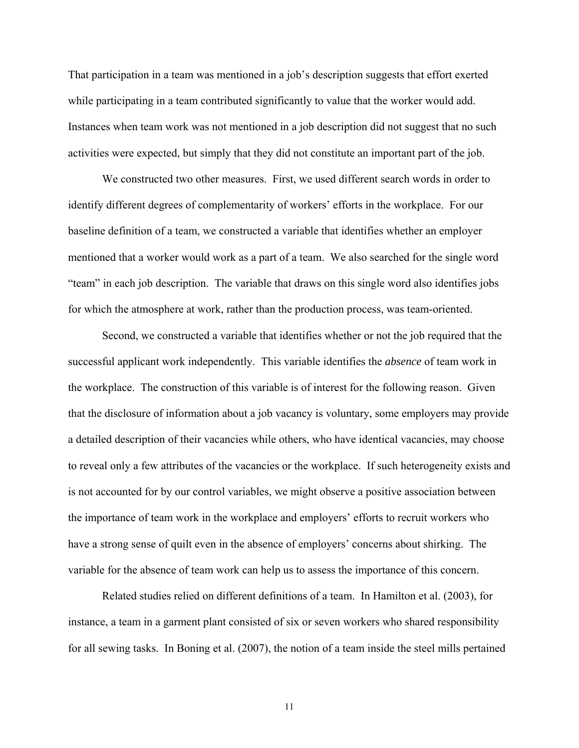That participation in a team was mentioned in a job's description suggests that effort exerted while participating in a team contributed significantly to value that the worker would add. Instances when team work was not mentioned in a job description did not suggest that no such activities were expected, but simply that they did not constitute an important part of the job.

We constructed two other measures. First, we used different search words in order to identify different degrees of complementarity of workers' efforts in the workplace. For our baseline definition of a team, we constructed a variable that identifies whether an employer mentioned that a worker would work as a part of a team. We also searched for the single word "team" in each job description. The variable that draws on this single word also identifies jobs for which the atmosphere at work, rather than the production process, was team-oriented.

Second, we constructed a variable that identifies whether or not the job required that the successful applicant work independently. This variable identifies the *absence* of team work in the workplace. The construction of this variable is of interest for the following reason. Given that the disclosure of information about a job vacancy is voluntary, some employers may provide a detailed description of their vacancies while others, who have identical vacancies, may choose to reveal only a few attributes of the vacancies or the workplace. If such heterogeneity exists and is not accounted for by our control variables, we might observe a positive association between the importance of team work in the workplace and employers' efforts to recruit workers who have a strong sense of quilt even in the absence of employers' concerns about shirking. The variable for the absence of team work can help us to assess the importance of this concern.

Related studies relied on different definitions of a team. In Hamilton et al. (2003), for instance, a team in a garment plant consisted of six or seven workers who shared responsibility for all sewing tasks. In Boning et al. (2007), the notion of a team inside the steel mills pertained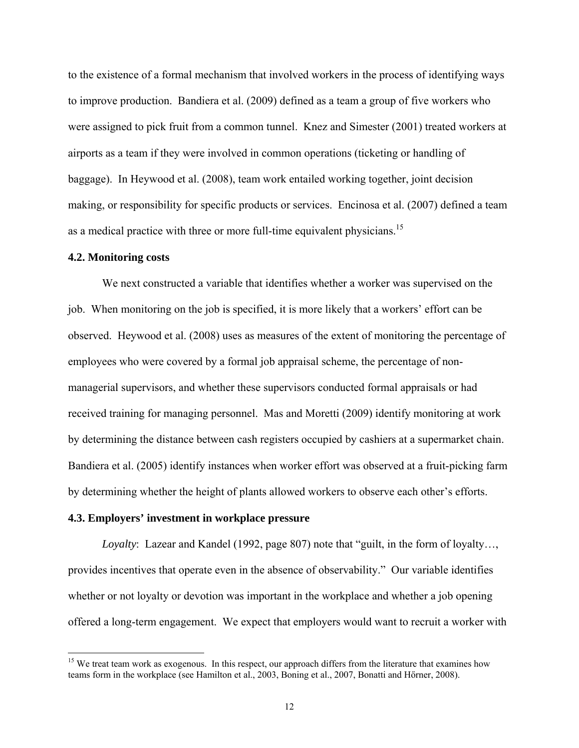to the existence of a formal mechanism that involved workers in the process of identifying ways to improve production. Bandiera et al. (2009) defined as a team a group of five workers who were assigned to pick fruit from a common tunnel. Knez and Simester (2001) treated workers at airports as a team if they were involved in common operations (ticketing or handling of baggage). In Heywood et al. (2008), team work entailed working together, joint decision making, or responsibility for specific products or services. Encinosa et al. (2007) defined a team as a medical practice with three or more full-time equivalent physicians.<sup>15</sup>

#### **4.2. Monitoring costs**

1

We next constructed a variable that identifies whether a worker was supervised on the job. When monitoring on the job is specified, it is more likely that a workers' effort can be observed. Heywood et al. (2008) uses as measures of the extent of monitoring the percentage of employees who were covered by a formal job appraisal scheme, the percentage of nonmanagerial supervisors, and whether these supervisors conducted formal appraisals or had received training for managing personnel. Mas and Moretti (2009) identify monitoring at work by determining the distance between cash registers occupied by cashiers at a supermarket chain. Bandiera et al. (2005) identify instances when worker effort was observed at a fruit-picking farm by determining whether the height of plants allowed workers to observe each other's efforts.

#### **4.3. Employers' investment in workplace pressure**

*Loyalty*: Lazear and Kandel (1992, page 807) note that "guilt, in the form of loyalty…, provides incentives that operate even in the absence of observability." Our variable identifies whether or not loyalty or devotion was important in the workplace and whether a job opening offered a long-term engagement. We expect that employers would want to recruit a worker with

<sup>&</sup>lt;sup>15</sup> We treat team work as exogenous. In this respect, our approach differs from the literature that examines how teams form in the workplace (see Hamilton et al., 2003, Boning et al., 2007, Bonatti and Hőrner, 2008).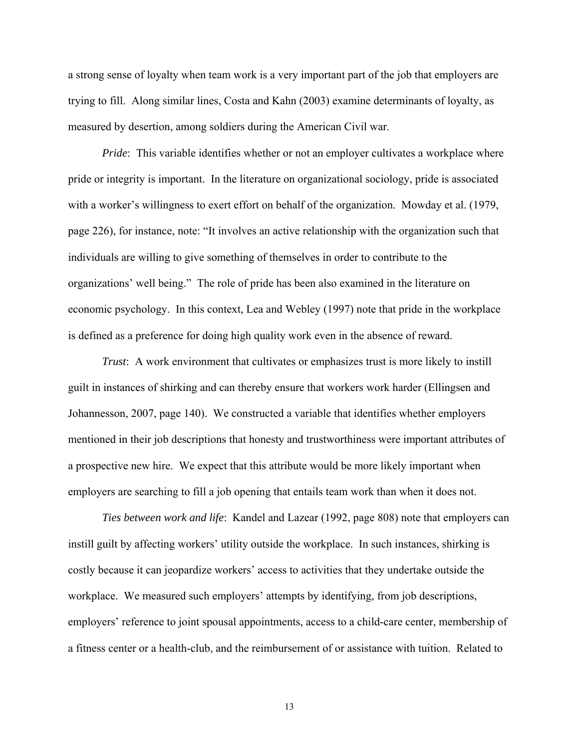a strong sense of loyalty when team work is a very important part of the job that employers are trying to fill. Along similar lines, Costa and Kahn (2003) examine determinants of loyalty, as measured by desertion, among soldiers during the American Civil war.

*Pride*: This variable identifies whether or not an employer cultivates a workplace where pride or integrity is important. In the literature on organizational sociology, pride is associated with a worker's willingness to exert effort on behalf of the organization. Mowday et al. (1979, page 226), for instance, note: "It involves an active relationship with the organization such that individuals are willing to give something of themselves in order to contribute to the organizations' well being." The role of pride has been also examined in the literature on economic psychology. In this context, Lea and Webley (1997) note that pride in the workplace is defined as a preference for doing high quality work even in the absence of reward.

*Trust*: A work environment that cultivates or emphasizes trust is more likely to instill guilt in instances of shirking and can thereby ensure that workers work harder (Ellingsen and Johannesson, 2007, page 140). We constructed a variable that identifies whether employers mentioned in their job descriptions that honesty and trustworthiness were important attributes of a prospective new hire. We expect that this attribute would be more likely important when employers are searching to fill a job opening that entails team work than when it does not.

*Ties between work and life*: Kandel and Lazear (1992, page 808) note that employers can instill guilt by affecting workers' utility outside the workplace. In such instances, shirking is costly because it can jeopardize workers' access to activities that they undertake outside the workplace. We measured such employers' attempts by identifying, from job descriptions, employers' reference to joint spousal appointments, access to a child-care center, membership of a fitness center or a health-club, and the reimbursement of or assistance with tuition. Related to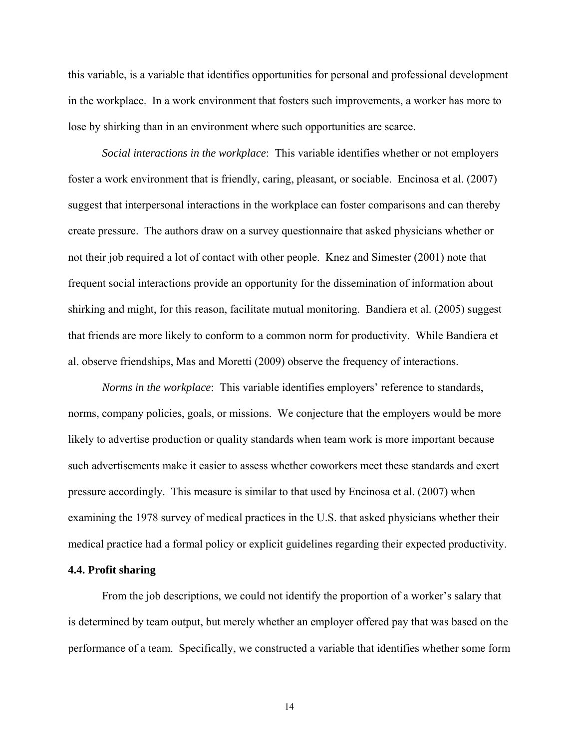this variable, is a variable that identifies opportunities for personal and professional development in the workplace. In a work environment that fosters such improvements, a worker has more to lose by shirking than in an environment where such opportunities are scarce.

*Social interactions in the workplace*: This variable identifies whether or not employers foster a work environment that is friendly, caring, pleasant, or sociable. Encinosa et al. (2007) suggest that interpersonal interactions in the workplace can foster comparisons and can thereby create pressure. The authors draw on a survey questionnaire that asked physicians whether or not their job required a lot of contact with other people. Knez and Simester (2001) note that frequent social interactions provide an opportunity for the dissemination of information about shirking and might, for this reason, facilitate mutual monitoring. Bandiera et al. (2005) suggest that friends are more likely to conform to a common norm for productivity. While Bandiera et al. observe friendships, Mas and Moretti (2009) observe the frequency of interactions.

*Norms in the workplace*: This variable identifies employers' reference to standards, norms, company policies, goals, or missions. We conjecture that the employers would be more likely to advertise production or quality standards when team work is more important because such advertisements make it easier to assess whether coworkers meet these standards and exert pressure accordingly. This measure is similar to that used by Encinosa et al. (2007) when examining the 1978 survey of medical practices in the U.S. that asked physicians whether their medical practice had a formal policy or explicit guidelines regarding their expected productivity.

#### **4.4. Profit sharing**

From the job descriptions, we could not identify the proportion of a worker's salary that is determined by team output, but merely whether an employer offered pay that was based on the performance of a team. Specifically, we constructed a variable that identifies whether some form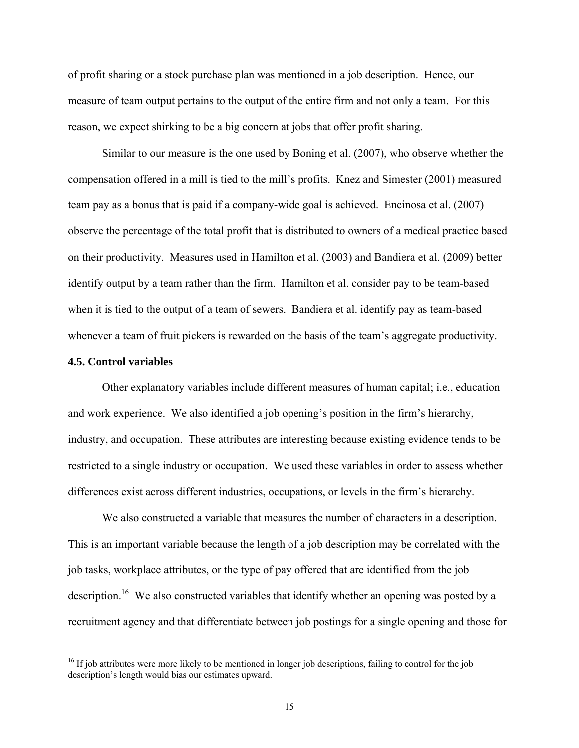of profit sharing or a stock purchase plan was mentioned in a job description. Hence, our measure of team output pertains to the output of the entire firm and not only a team. For this reason, we expect shirking to be a big concern at jobs that offer profit sharing.

Similar to our measure is the one used by Boning et al. (2007), who observe whether the compensation offered in a mill is tied to the mill's profits. Knez and Simester (2001) measured team pay as a bonus that is paid if a company-wide goal is achieved. Encinosa et al. (2007) observe the percentage of the total profit that is distributed to owners of a medical practice based on their productivity. Measures used in Hamilton et al. (2003) and Bandiera et al. (2009) better identify output by a team rather than the firm. Hamilton et al. consider pay to be team-based when it is tied to the output of a team of sewers. Bandiera et al. identify pay as team-based whenever a team of fruit pickers is rewarded on the basis of the team's aggregate productivity.

#### **4.5. Control variables**

 $\overline{a}$ 

Other explanatory variables include different measures of human capital; i.e., education and work experience. We also identified a job opening's position in the firm's hierarchy, industry, and occupation. These attributes are interesting because existing evidence tends to be restricted to a single industry or occupation. We used these variables in order to assess whether differences exist across different industries, occupations, or levels in the firm's hierarchy.

We also constructed a variable that measures the number of characters in a description. This is an important variable because the length of a job description may be correlated with the job tasks, workplace attributes, or the type of pay offered that are identified from the job description.<sup>16</sup> We also constructed variables that identify whether an opening was posted by a recruitment agency and that differentiate between job postings for a single opening and those for

 $16$  If job attributes were more likely to be mentioned in longer job descriptions, failing to control for the job description's length would bias our estimates upward.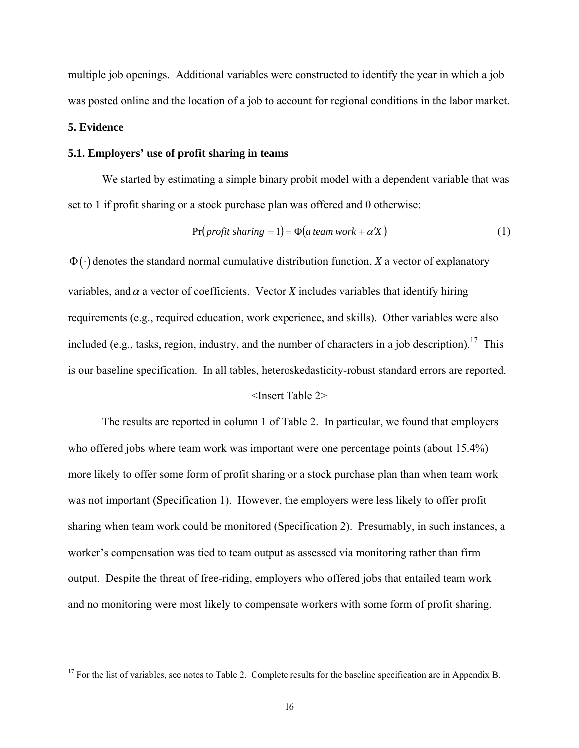multiple job openings. Additional variables were constructed to identify the year in which a job was posted online and the location of a job to account for regional conditions in the labor market.

## **5. Evidence**

<u>.</u>

#### **5.1. Employers' use of profit sharing in teams**

We started by estimating a simple binary probit model with a dependent variable that was set to 1 if profit sharing or a stock purchase plan was offered and 0 otherwise:

$$
Pr(profit sharing = 1) = \Phi(a team work + \alpha'X)
$$
\n(1)

 $\Phi(\cdot)$  denotes the standard normal cumulative distribution function, *X* a vector of explanatory variables, and  $\alpha$  a vector of coefficients. Vector *X* includes variables that identify hiring requirements (e.g., required education, work experience, and skills). Other variables were also included (e.g., tasks, region, industry, and the number of characters in a job description).<sup>17</sup> This is our baseline specification. In all tables, heteroskedasticity-robust standard errors are reported.

#### <Insert Table 2>

 The results are reported in column 1 of Table 2. In particular, we found that employers who offered jobs where team work was important were one percentage points (about 15.4%) more likely to offer some form of profit sharing or a stock purchase plan than when team work was not important (Specification 1). However, the employers were less likely to offer profit sharing when team work could be monitored (Specification 2). Presumably, in such instances, a worker's compensation was tied to team output as assessed via monitoring rather than firm output. Despite the threat of free-riding, employers who offered jobs that entailed team work and no monitoring were most likely to compensate workers with some form of profit sharing.

 $17$  For the list of variables, see notes to Table 2. Complete results for the baseline specification are in Appendix B.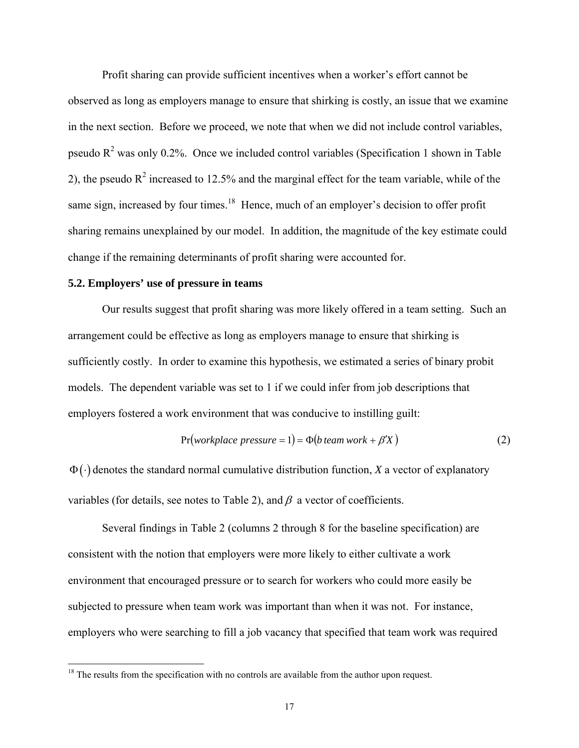Profit sharing can provide sufficient incentives when a worker's effort cannot be observed as long as employers manage to ensure that shirking is costly, an issue that we examine in the next section. Before we proceed, we note that when we did not include control variables, pseudo  $R^2$  was only 0.2%. Once we included control variables (Specification 1 shown in Table 2), the pseudo  $R^2$  increased to 12.5% and the marginal effect for the team variable, while of the same sign, increased by four times.<sup>18</sup> Hence, much of an employer's decision to offer profit sharing remains unexplained by our model. In addition, the magnitude of the key estimate could change if the remaining determinants of profit sharing were accounted for.

#### **5.2. Employers' use of pressure in teams**

 $\overline{a}$ 

Our results suggest that profit sharing was more likely offered in a team setting. Such an arrangement could be effective as long as employers manage to ensure that shirking is sufficiently costly. In order to examine this hypothesis, we estimated a series of binary probit models. The dependent variable was set to 1 if we could infer from job descriptions that employers fostered a work environment that was conducive to instilling guilt:

$$
Pr(workplace pressure = 1) = \Phi(b team work + \beta'X)
$$
\n(2)

Φ ⋅( ) denotes the standard normal cumulative distribution function, *X* a vector of explanatory variables (for details, see notes to Table 2), and  $\beta$  a vector of coefficients.

 Several findings in Table 2 (columns 2 through 8 for the baseline specification) are consistent with the notion that employers were more likely to either cultivate a work environment that encouraged pressure or to search for workers who could more easily be subjected to pressure when team work was important than when it was not. For instance, employers who were searching to fill a job vacancy that specified that team work was required

 $18$ <sup>18</sup> The results from the specification with no controls are available from the author upon request.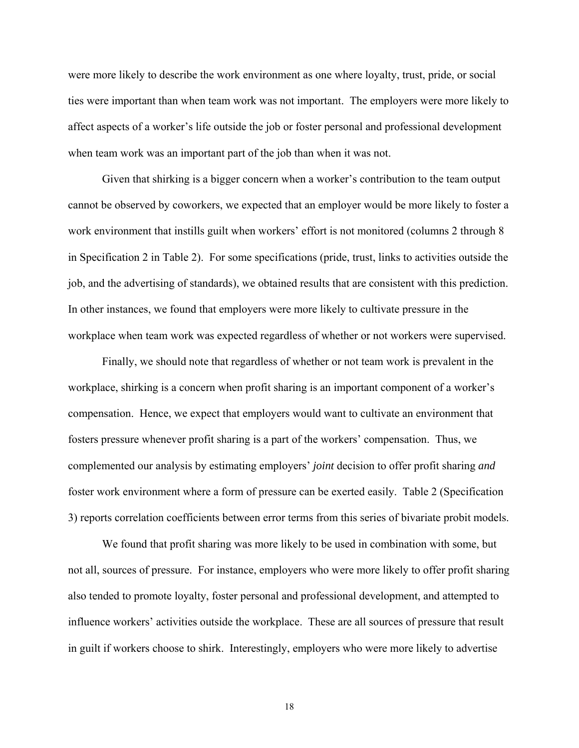were more likely to describe the work environment as one where loyalty, trust, pride, or social ties were important than when team work was not important. The employers were more likely to affect aspects of a worker's life outside the job or foster personal and professional development when team work was an important part of the job than when it was not.

 Given that shirking is a bigger concern when a worker's contribution to the team output cannot be observed by coworkers, we expected that an employer would be more likely to foster a work environment that instills guilt when workers' effort is not monitored (columns 2 through 8 in Specification 2 in Table 2). For some specifications (pride, trust, links to activities outside the job, and the advertising of standards), we obtained results that are consistent with this prediction. In other instances, we found that employers were more likely to cultivate pressure in the workplace when team work was expected regardless of whether or not workers were supervised.

Finally, we should note that regardless of whether or not team work is prevalent in the workplace, shirking is a concern when profit sharing is an important component of a worker's compensation. Hence, we expect that employers would want to cultivate an environment that fosters pressure whenever profit sharing is a part of the workers' compensation. Thus, we complemented our analysis by estimating employers' *joint* decision to offer profit sharing *and* foster work environment where a form of pressure can be exerted easily. Table 2 (Specification 3) reports correlation coefficients between error terms from this series of bivariate probit models.

We found that profit sharing was more likely to be used in combination with some, but not all, sources of pressure. For instance, employers who were more likely to offer profit sharing also tended to promote loyalty, foster personal and professional development, and attempted to influence workers' activities outside the workplace. These are all sources of pressure that result in guilt if workers choose to shirk. Interestingly, employers who were more likely to advertise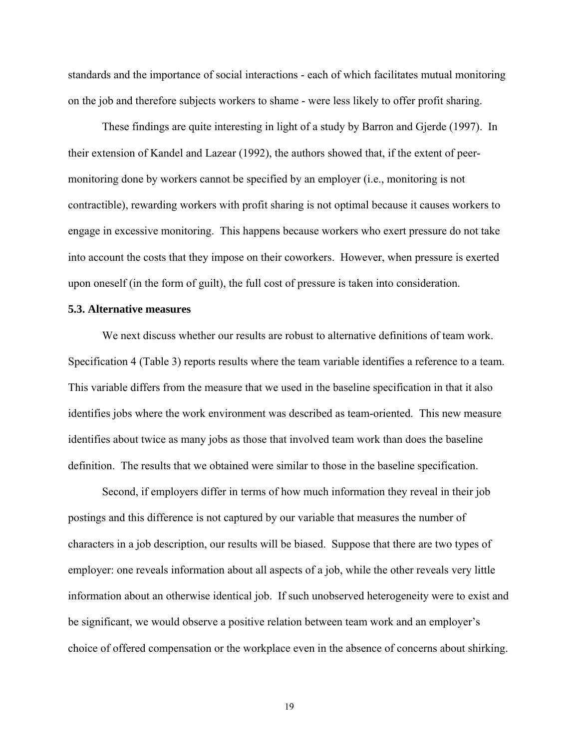standards and the importance of social interactions - each of which facilitates mutual monitoring on the job and therefore subjects workers to shame - were less likely to offer profit sharing.

These findings are quite interesting in light of a study by Barron and Gjerde (1997). In their extension of Kandel and Lazear (1992), the authors showed that, if the extent of peermonitoring done by workers cannot be specified by an employer (i.e., monitoring is not contractible), rewarding workers with profit sharing is not optimal because it causes workers to engage in excessive monitoring. This happens because workers who exert pressure do not take into account the costs that they impose on their coworkers. However, when pressure is exerted upon oneself (in the form of guilt), the full cost of pressure is taken into consideration.

#### **5.3. Alternative measures**

 We next discuss whether our results are robust to alternative definitions of team work. Specification 4 (Table 3) reports results where the team variable identifies a reference to a team. This variable differs from the measure that we used in the baseline specification in that it also identifies jobs where the work environment was described as team-oriented. This new measure identifies about twice as many jobs as those that involved team work than does the baseline definition. The results that we obtained were similar to those in the baseline specification.

 Second, if employers differ in terms of how much information they reveal in their job postings and this difference is not captured by our variable that measures the number of characters in a job description, our results will be biased. Suppose that there are two types of employer: one reveals information about all aspects of a job, while the other reveals very little information about an otherwise identical job. If such unobserved heterogeneity were to exist and be significant, we would observe a positive relation between team work and an employer's choice of offered compensation or the workplace even in the absence of concerns about shirking.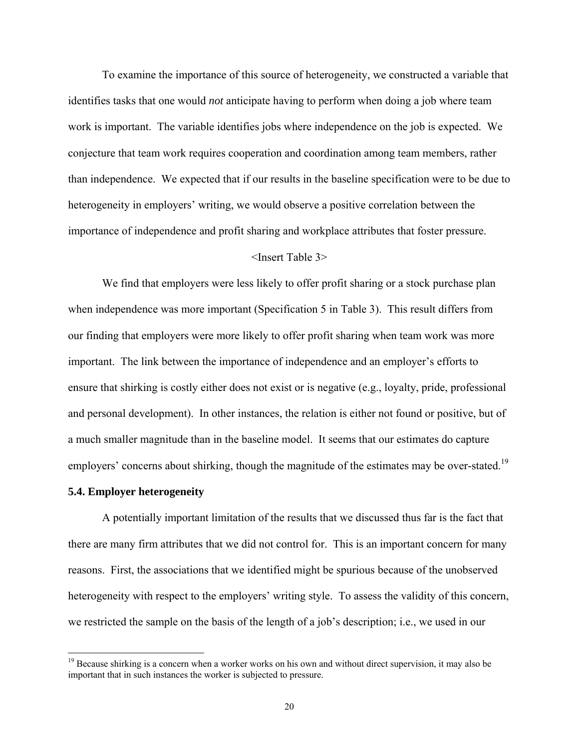To examine the importance of this source of heterogeneity, we constructed a variable that identifies tasks that one would *not* anticipate having to perform when doing a job where team work is important. The variable identifies jobs where independence on the job is expected. We conjecture that team work requires cooperation and coordination among team members, rather than independence. We expected that if our results in the baseline specification were to be due to heterogeneity in employers' writing, we would observe a positive correlation between the importance of independence and profit sharing and workplace attributes that foster pressure.

#### <Insert Table 3>

We find that employers were less likely to offer profit sharing or a stock purchase plan when independence was more important (Specification 5 in Table 3). This result differs from our finding that employers were more likely to offer profit sharing when team work was more important. The link between the importance of independence and an employer's efforts to ensure that shirking is costly either does not exist or is negative (e.g., loyalty, pride, professional and personal development). In other instances, the relation is either not found or positive, but of a much smaller magnitude than in the baseline model. It seems that our estimates do capture employers' concerns about shirking, though the magnitude of the estimates may be over-stated.<sup>19</sup>

#### **5.4. Employer heterogeneity**

 $\overline{a}$ 

A potentially important limitation of the results that we discussed thus far is the fact that there are many firm attributes that we did not control for. This is an important concern for many reasons. First, the associations that we identified might be spurious because of the unobserved heterogeneity with respect to the employers' writing style. To assess the validity of this concern, we restricted the sample on the basis of the length of a job's description; i.e., we used in our

<sup>&</sup>lt;sup>19</sup> Because shirking is a concern when a worker works on his own and without direct supervision, it may also be important that in such instances the worker is subjected to pressure.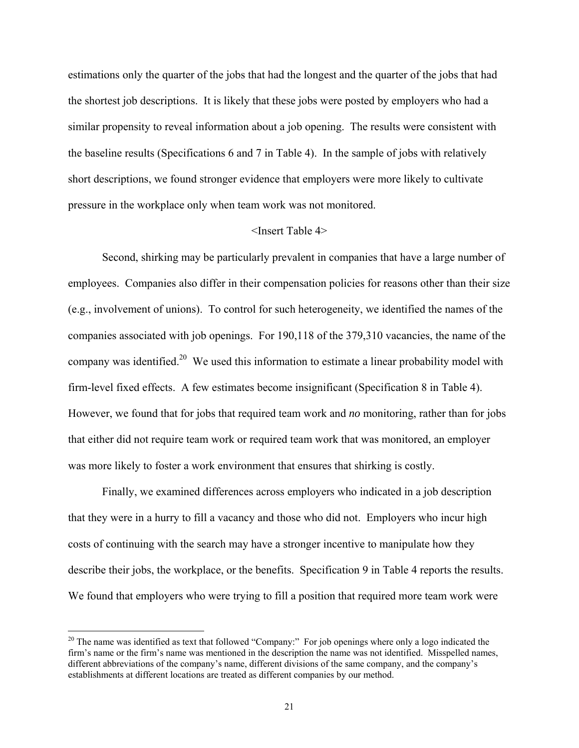estimations only the quarter of the jobs that had the longest and the quarter of the jobs that had the shortest job descriptions. It is likely that these jobs were posted by employers who had a similar propensity to reveal information about a job opening. The results were consistent with the baseline results (Specifications 6 and 7 in Table 4). In the sample of jobs with relatively short descriptions, we found stronger evidence that employers were more likely to cultivate pressure in the workplace only when team work was not monitored.

#### <Insert Table 4>

Second, shirking may be particularly prevalent in companies that have a large number of employees. Companies also differ in their compensation policies for reasons other than their size (e.g., involvement of unions). To control for such heterogeneity, we identified the names of the companies associated with job openings. For 190,118 of the 379,310 vacancies, the name of the company was identified.<sup>20</sup> We used this information to estimate a linear probability model with firm-level fixed effects. A few estimates become insignificant (Specification 8 in Table 4). However, we found that for jobs that required team work and *no* monitoring, rather than for jobs that either did not require team work or required team work that was monitored, an employer was more likely to foster a work environment that ensures that shirking is costly.

Finally, we examined differences across employers who indicated in a job description that they were in a hurry to fill a vacancy and those who did not. Employers who incur high costs of continuing with the search may have a stronger incentive to manipulate how they describe their jobs, the workplace, or the benefits. Specification 9 in Table 4 reports the results. We found that employers who were trying to fill a position that required more team work were

<u>.</u>

 $20$  The name was identified as text that followed "Company:" For job openings where only a logo indicated the firm's name or the firm's name was mentioned in the description the name was not identified. Misspelled names, different abbreviations of the company's name, different divisions of the same company, and the company's establishments at different locations are treated as different companies by our method.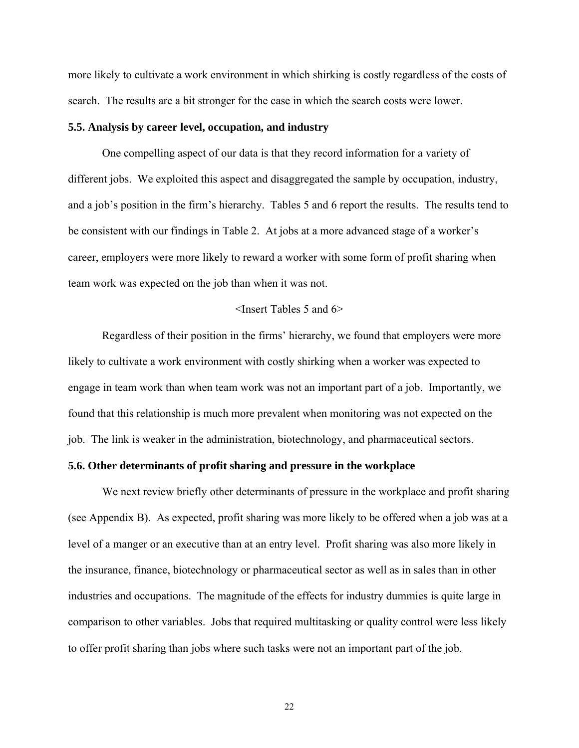more likely to cultivate a work environment in which shirking is costly regardless of the costs of search. The results are a bit stronger for the case in which the search costs were lower.

#### **5.5. Analysis by career level, occupation, and industry**

One compelling aspect of our data is that they record information for a variety of different jobs. We exploited this aspect and disaggregated the sample by occupation, industry, and a job's position in the firm's hierarchy. Tables 5 and 6 report the results. The results tend to be consistent with our findings in Table 2. At jobs at a more advanced stage of a worker's career, employers were more likely to reward a worker with some form of profit sharing when team work was expected on the job than when it was not.

#### <Insert Tables 5 and 6>

Regardless of their position in the firms' hierarchy, we found that employers were more likely to cultivate a work environment with costly shirking when a worker was expected to engage in team work than when team work was not an important part of a job. Importantly, we found that this relationship is much more prevalent when monitoring was not expected on the job. The link is weaker in the administration, biotechnology, and pharmaceutical sectors.

#### **5.6. Other determinants of profit sharing and pressure in the workplace**

We next review briefly other determinants of pressure in the workplace and profit sharing (see Appendix B). As expected, profit sharing was more likely to be offered when a job was at a level of a manger or an executive than at an entry level. Profit sharing was also more likely in the insurance, finance, biotechnology or pharmaceutical sector as well as in sales than in other industries and occupations. The magnitude of the effects for industry dummies is quite large in comparison to other variables. Jobs that required multitasking or quality control were less likely to offer profit sharing than jobs where such tasks were not an important part of the job.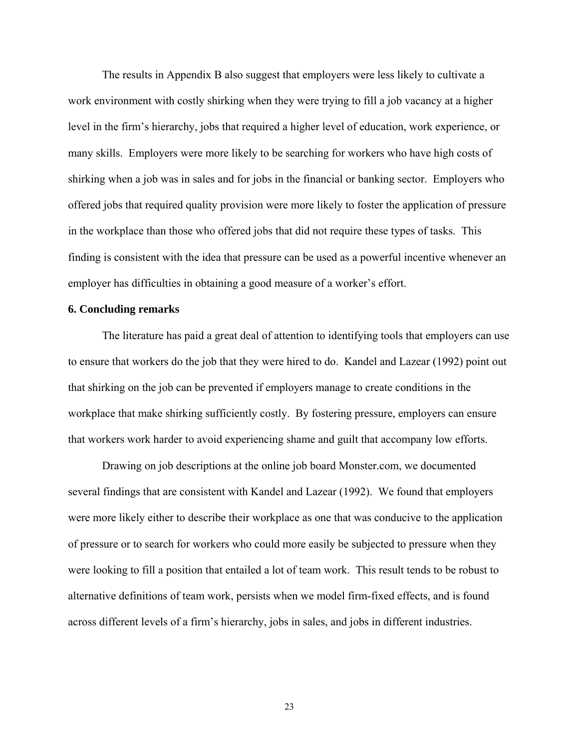The results in Appendix B also suggest that employers were less likely to cultivate a work environment with costly shirking when they were trying to fill a job vacancy at a higher level in the firm's hierarchy, jobs that required a higher level of education, work experience, or many skills. Employers were more likely to be searching for workers who have high costs of shirking when a job was in sales and for jobs in the financial or banking sector. Employers who offered jobs that required quality provision were more likely to foster the application of pressure in the workplace than those who offered jobs that did not require these types of tasks. This finding is consistent with the idea that pressure can be used as a powerful incentive whenever an employer has difficulties in obtaining a good measure of a worker's effort.

#### **6. Concluding remarks**

 The literature has paid a great deal of attention to identifying tools that employers can use to ensure that workers do the job that they were hired to do. Kandel and Lazear (1992) point out that shirking on the job can be prevented if employers manage to create conditions in the workplace that make shirking sufficiently costly. By fostering pressure, employers can ensure that workers work harder to avoid experiencing shame and guilt that accompany low efforts.

 Drawing on job descriptions at the online job board Monster.com, we documented several findings that are consistent with Kandel and Lazear (1992). We found that employers were more likely either to describe their workplace as one that was conducive to the application of pressure or to search for workers who could more easily be subjected to pressure when they were looking to fill a position that entailed a lot of team work. This result tends to be robust to alternative definitions of team work, persists when we model firm-fixed effects, and is found across different levels of a firm's hierarchy, jobs in sales, and jobs in different industries.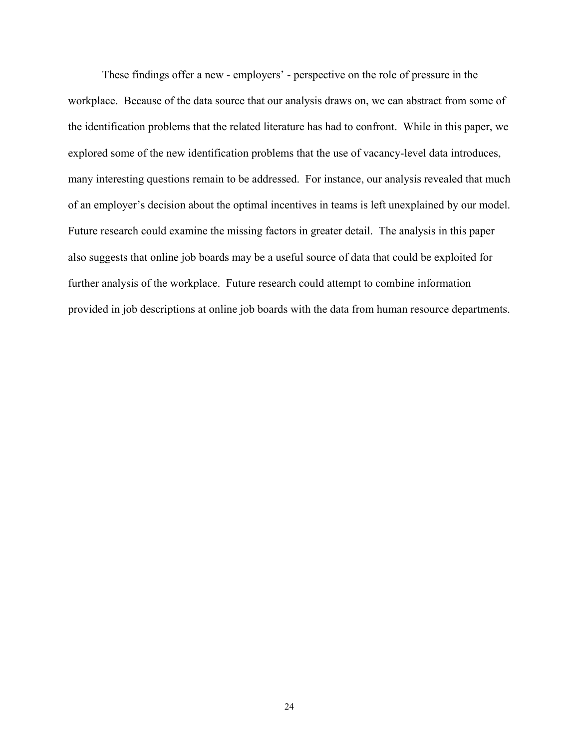These findings offer a new - employers' - perspective on the role of pressure in the workplace. Because of the data source that our analysis draws on, we can abstract from some of the identification problems that the related literature has had to confront. While in this paper, we explored some of the new identification problems that the use of vacancy-level data introduces, many interesting questions remain to be addressed. For instance, our analysis revealed that much of an employer's decision about the optimal incentives in teams is left unexplained by our model. Future research could examine the missing factors in greater detail. The analysis in this paper also suggests that online job boards may be a useful source of data that could be exploited for further analysis of the workplace. Future research could attempt to combine information provided in job descriptions at online job boards with the data from human resource departments.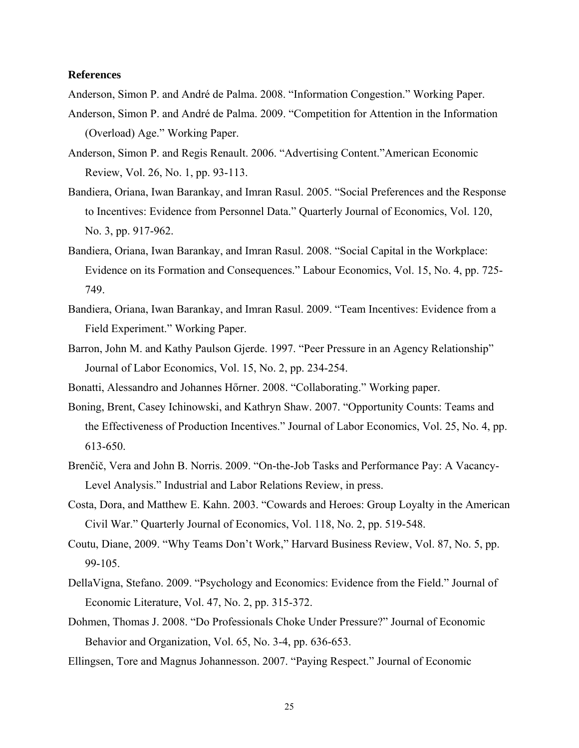#### **References**

Anderson, Simon P. and André de Palma. 2008. "Information Congestion." Working Paper.

- Anderson, Simon P. and André de Palma. 2009. "Competition for Attention in the Information (Overload) Age." Working Paper.
- Anderson, Simon P. and Regis Renault. 2006. "Advertising Content."American Economic Review, Vol. 26, No. 1, pp. 93-113.
- Bandiera, Oriana, Iwan Barankay, and Imran Rasul. 2005. "Social Preferences and the Response to Incentives: Evidence from Personnel Data." Quarterly Journal of Economics, Vol. 120, No. 3, pp. 917-962.
- Bandiera, Oriana, Iwan Barankay, and Imran Rasul. 2008. "Social Capital in the Workplace: Evidence on its Formation and Consequences." Labour Economics, Vol. 15, No. 4, pp. 725- 749.
- Bandiera, Oriana, Iwan Barankay, and Imran Rasul. 2009. "Team Incentives: Evidence from a Field Experiment." Working Paper.
- Barron, John M. and Kathy Paulson Gjerde. 1997. "Peer Pressure in an Agency Relationship" Journal of Labor Economics, Vol. 15, No. 2, pp. 234-254.
- Bonatti, Alessandro and Johannes Hőrner. 2008. "Collaborating." Working paper.
- Boning, Brent, Casey Ichinowski, and Kathryn Shaw. 2007. "Opportunity Counts: Teams and the Effectiveness of Production Incentives." Journal of Labor Economics, Vol. 25, No. 4, pp. 613-650.
- Brenčič, Vera and John B. Norris. 2009. "On-the-Job Tasks and Performance Pay: A Vacancy-Level Analysis." Industrial and Labor Relations Review, in press.
- Costa, Dora, and Matthew E. Kahn. 2003. "Cowards and Heroes: Group Loyalty in the American Civil War." Quarterly Journal of Economics, Vol. 118, No. 2, pp. 519-548.
- Coutu, Diane, 2009. "Why Teams Don't Work," Harvard Business Review, Vol. 87, No. 5, pp. 99-105.
- DellaVigna, Stefano. 2009. "Psychology and Economics: Evidence from the Field." Journal of Economic Literature, Vol. 47, No. 2, pp. 315-372.
- Dohmen, Thomas J. 2008. "Do Professionals Choke Under Pressure?" Journal of Economic Behavior and Organization, Vol. 65, No. 3-4, pp. 636-653.
- Ellingsen, Tore and Magnus Johannesson. 2007. "Paying Respect." Journal of Economic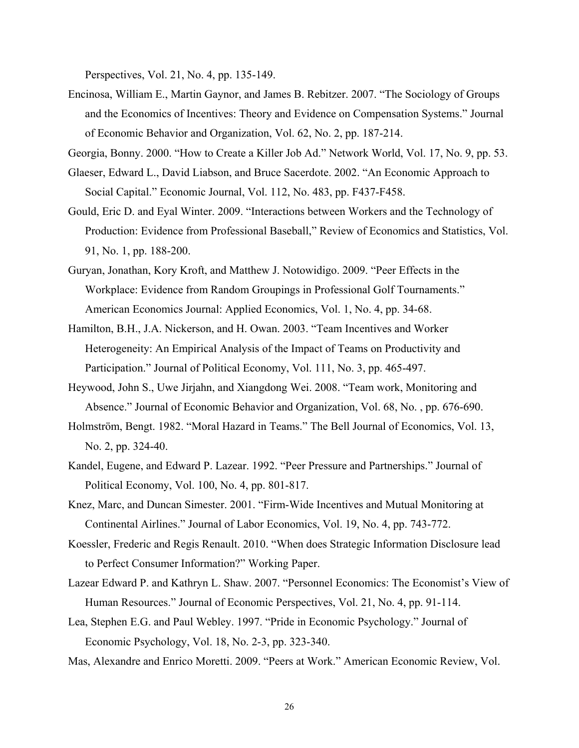Perspectives, Vol. 21, No. 4, pp. 135-149.

Encinosa, William E., Martin Gaynor, and James B. Rebitzer. 2007. "The Sociology of Groups and the Economics of Incentives: Theory and Evidence on Compensation Systems." Journal of Economic Behavior and Organization, Vol. 62, No. 2, pp. 187-214.

Georgia, Bonny. 2000. "How to Create a Killer Job Ad." Network World, Vol. 17, No. 9, pp. 53.

- Glaeser, Edward L., David Liabson, and Bruce Sacerdote. 2002. "An Economic Approach to Social Capital." Economic Journal, Vol. 112, No. 483, pp. F437-F458.
- Gould, Eric D. and Eyal Winter. 2009. "Interactions between Workers and the Technology of Production: Evidence from Professional Baseball," Review of Economics and Statistics, Vol. 91, No. 1, pp. 188-200.
- Guryan, Jonathan, Kory Kroft, and Matthew J. Notowidigo. 2009. "Peer Effects in the Workplace: Evidence from Random Groupings in Professional Golf Tournaments." American Economics Journal: Applied Economics, Vol. 1, No. 4, pp. 34-68.
- Hamilton, B.H., J.A. Nickerson, and H. Owan. 2003. "Team Incentives and Worker Heterogeneity: An Empirical Analysis of the Impact of Teams on Productivity and Participation." Journal of Political Economy, Vol. 111, No. 3, pp. 465-497.
- Heywood, John S., Uwe Jirjahn, and Xiangdong Wei. 2008. "Team work, Monitoring and Absence." Journal of Economic Behavior and Organization, Vol. 68, No. , pp. 676-690.
- Holmström, Bengt. 1982. "Moral Hazard in Teams." The Bell Journal of Economics, Vol. 13, No. 2, pp. 324-40.
- Kandel, Eugene, and Edward P. Lazear. 1992. "Peer Pressure and Partnerships." Journal of Political Economy, Vol. 100, No. 4, pp. 801-817.
- Knez, Marc, and Duncan Simester. 2001. "Firm-Wide Incentives and Mutual Monitoring at Continental Airlines." Journal of Labor Economics, Vol. 19, No. 4, pp. 743-772.
- Koessler, Frederic and Regis Renault. 2010. "When does Strategic Information Disclosure lead to Perfect Consumer Information?" Working Paper.
- Lazear Edward P. and Kathryn L. Shaw. 2007. "Personnel Economics: The Economist's View of Human Resources." Journal of Economic Perspectives, Vol. 21, No. 4, pp. 91-114.
- Lea, Stephen E.G. and Paul Webley. 1997. "Pride in Economic Psychology." Journal of Economic Psychology, Vol. 18, No. 2-3, pp. 323-340.
- Mas, Alexandre and Enrico Moretti. 2009. "Peers at Work." American Economic Review, Vol.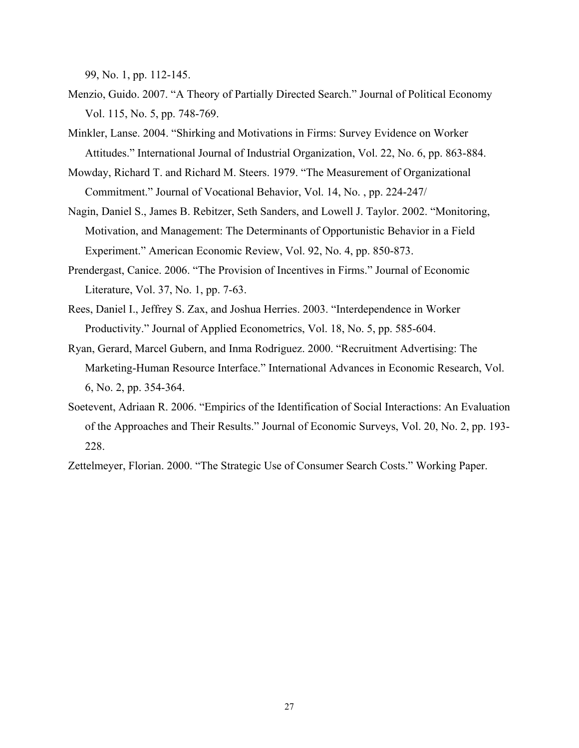99, No. 1, pp. 112-145.

- Menzio, Guido. 2007. "A Theory of Partially Directed Search." Journal of Political Economy Vol. 115, No. 5, pp. 748-769.
- Minkler, Lanse. 2004. "Shirking and Motivations in Firms: Survey Evidence on Worker Attitudes." International Journal of Industrial Organization, Vol. 22, No. 6, pp. 863-884.
- Mowday, Richard T. and Richard M. Steers. 1979. "The Measurement of Organizational Commitment." Journal of Vocational Behavior, Vol. 14, No. , pp. 224-247/
- Nagin, Daniel S., James B. Rebitzer, Seth Sanders, and Lowell J. Taylor. 2002. "Monitoring, Motivation, and Management: The Determinants of Opportunistic Behavior in a Field Experiment." American Economic Review, Vol. 92, No. 4, pp. 850-873.
- Prendergast, Canice. 2006. "The Provision of Incentives in Firms." Journal of Economic Literature, Vol. 37, No. 1, pp. 7-63.
- Rees, Daniel I., Jeffrey S. Zax, and Joshua Herries. 2003. "Interdependence in Worker Productivity." Journal of Applied Econometrics, Vol. 18, No. 5, pp. 585-604.
- Ryan, Gerard, Marcel Gubern, and Inma Rodriguez. 2000. "Recruitment Advertising: The Marketing-Human Resource Interface." International Advances in Economic Research, Vol. 6, No. 2, pp. 354-364.
- Soetevent, Adriaan R. 2006. "Empirics of the Identification of Social Interactions: An Evaluation of the Approaches and Their Results." Journal of Economic Surveys, Vol. 20, No. 2, pp. 193- 228.

Zettelmeyer, Florian. 2000. "The Strategic Use of Consumer Search Costs." Working Paper.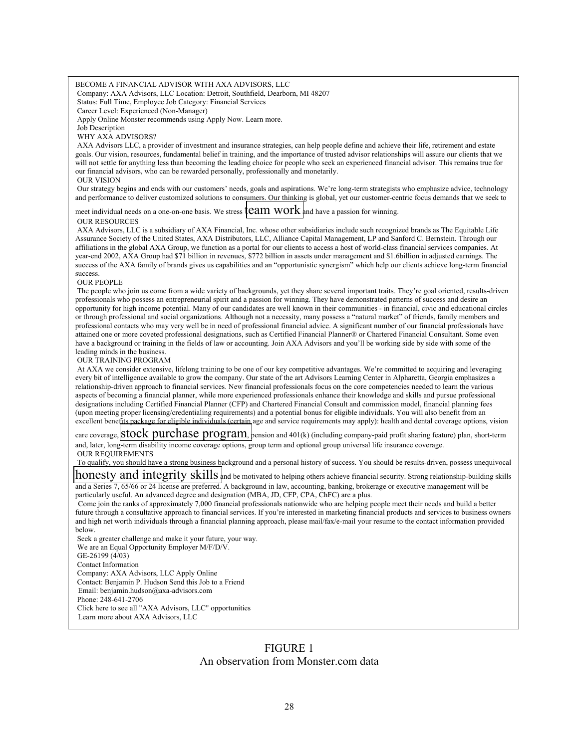#### BECOME A FINANCIAL ADVISOR WITH AXA ADVISORS, LLC

Company: AXA Advisors, LLC Location: Detroit, Southfield, Dearborn, MI 48207

Status: Full Time, Employee Job Category: Financial Services

Career Level: Experienced (Non-Manager)

Apply Online Monster recommends using Apply Now. Learn more.

Job Description

WHY AXA ADVISORS?

 AXA Advisors LLC, a provider of investment and insurance strategies, can help people define and achieve their life, retirement and estate goals. Our vision, resources, fundamental belief in training, and the importance of trusted advisor relationships will assure our clients that we will not settle for anything less than becoming the leading choice for people who seek an experienced financial advisor. This remains true for our financial advisors, who can be rewarded personally, professionally and monetarily.

OUR VISION

 Our strategy begins and ends with our customers' needs, goals and aspirations. We're long-term strategists who emphasize advice, technology and performance to deliver customized solutions to consumers. Our thinking is global, yet our customer-centric focus demands that we seek to

meet individual needs on a one-on-one basis. We stress **team work** and have a passion for winning.

#### OUR RESOURCES

 AXA Advisors, LLC is a subsidiary of AXA Financial, Inc. whose other subsidiaries include such recognized brands as The Equitable Life Assurance Society of the United States, AXA Distributors, LLC, Alliance Capital Management, LP and Sanford C. Bernstein. Through our affiliations in the global AXA Group, we function as a portal for our clients to access a host of world-class financial services companies. At year-end 2002, AXA Group had \$71 billion in revenues, \$772 billion in assets under management and \$1.6billion in adjusted earnings. The success of the AXA family of brands gives us capabilities and an "opportunistic synergism" which help our clients achieve long-term financial success.

OUR PEOPLE

 The people who join us come from a wide variety of backgrounds, yet they share several important traits. They're goal oriented, results-driven professionals who possess an entrepreneurial spirit and a passion for winning. They have demonstrated patterns of success and desire an opportunity for high income potential. Many of our candidates are well known in their communities - in financial, civic and educational circles or through professional and social organizations. Although not a necessity, many possess a "natural market" of friends, family members and professional contacts who may very well be in need of professional financial advice. A significant number of our financial professionals have attained one or more coveted professional designations, such as Certified Financial Planner® or Chartered Financial Consultant. Some even have a background or training in the fields of law or accounting. Join AXA Advisors and you'll be working side by side with some of the leading minds in the business.

OUR TRAINING PROGRAM

 At AXA we consider extensive, lifelong training to be one of our key competitive advantages. We're committed to acquiring and leveraging every bit of intelligence available to grow the company. Our state of the art Advisors Learning Center in Alpharetta, Georgia emphasizes a relationship-driven approach to financial services. New financial professionals focus on the core competencies needed to learn the various aspects of becoming a financial planner, while more experienced professionals enhance their knowledge and skills and pursue professional designations including Certified Financial Planner (CFP) and Chartered Financial Consult and commission model, financial planning fees (upon meeting proper licensing/credentialing requirements) and a potential bonus for eligible individuals. You will also benefit from an excellent benefits package for eligible individuals (certain age and service requirements may apply): health and dental coverage options, vision

care coverage, **Stock purchase program**, pension and 401(k) (including company-paid profit sharing feature) plan, short-term and, later, long-term disability income coverage options, group term and optional group universal life insurance coverage. OUR REQUIREMENTS

 To qualify, you should have a strong business background and a personal history of success. You should be results-driven, possess unequivocal **honesty and integrity skills and be motivated to helping others achieve financial security. Strong relationship-building skills** 

and a Series 7, 65/66 or 24 license are preferred. A background in law, accounting, banking, brokerage or executive management will be particularly useful. An advanced degree and designation (MBA, JD, CFP, CPA, ChFC) are a plus.

Come join the ranks of approximately 7,000 financial professionals nationwide who are helping people meet their needs and build a better future through a consultative approach to financial services. If you're interested in marketing financial products and services to business owners and high net worth individuals through a financial planning approach, please mail/fax/e-mail your resume to the contact information provided below.

Seek a greater challenge and make it your future, your way.

 We are an Equal Opportunity Employer M/F/D/V. GE-26199 (4/03) Contact Information Company: AXA Advisors, LLC Apply Online Contact: Benjamin P. Hudson Send this Job to a Friend Email: benjamin.hudson@axa-advisors.com

Phone: 248-641-2706

Click here to see all "AXA Advisors, LLC" opportunities

Learn more about AXA Advisors, LLC

## FIGURE 1 An observation from Monster.com data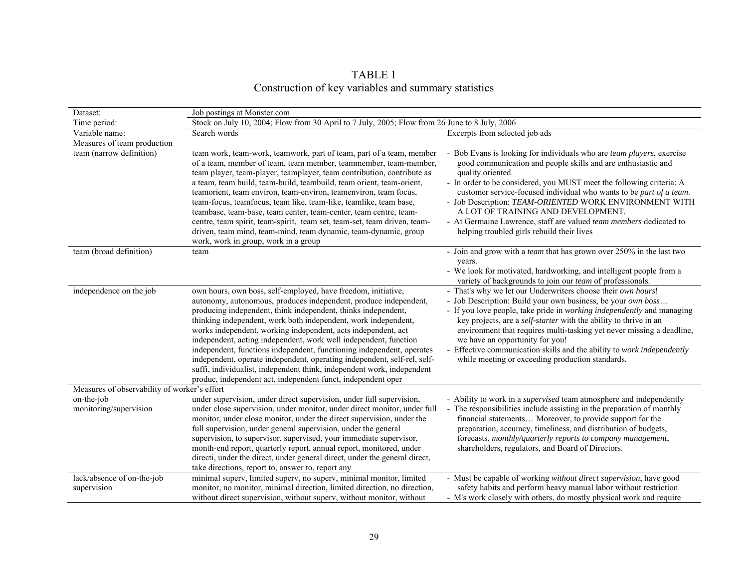TABLE 1<br>Construction of key variables and summary statistics

| Dataset:                                     | Job postings at Monster.com                                                                                                                                                                                                                                                                                                                                                                                                                                                                                                                                                                                                                                                                              |                                                                                                                                                                                                                                                                                                                                                                                                                                                                                                                                     |
|----------------------------------------------|----------------------------------------------------------------------------------------------------------------------------------------------------------------------------------------------------------------------------------------------------------------------------------------------------------------------------------------------------------------------------------------------------------------------------------------------------------------------------------------------------------------------------------------------------------------------------------------------------------------------------------------------------------------------------------------------------------|-------------------------------------------------------------------------------------------------------------------------------------------------------------------------------------------------------------------------------------------------------------------------------------------------------------------------------------------------------------------------------------------------------------------------------------------------------------------------------------------------------------------------------------|
| Time period:                                 | Stock on July 10, 2004; Flow from 30 April to 7 July, 2005; Flow from 26 June to 8 July, 2006                                                                                                                                                                                                                                                                                                                                                                                                                                                                                                                                                                                                            |                                                                                                                                                                                                                                                                                                                                                                                                                                                                                                                                     |
| Variable name:                               | Search words                                                                                                                                                                                                                                                                                                                                                                                                                                                                                                                                                                                                                                                                                             | Excerpts from selected job ads                                                                                                                                                                                                                                                                                                                                                                                                                                                                                                      |
| Measures of team production                  |                                                                                                                                                                                                                                                                                                                                                                                                                                                                                                                                                                                                                                                                                                          |                                                                                                                                                                                                                                                                                                                                                                                                                                                                                                                                     |
| team (narrow definition)                     | team work, team-work, teamwork, part of team, part of a team, member<br>of a team, member of team, team member, teammember, team-member,<br>team player, team-player, teamplayer, team contribution, contribute as<br>a team, team build, team-build, teambuild, team orient, team-orient,<br>teamorient, team environ, team-environ, teamenviron, team focus,<br>team-focus, teamfocus, team like, team-like, teamlike, team base,<br>teambase, team-base, team center, team-center, team centre, team-<br>centre, team spirit, team-spirit, team set, team-set, team driven, team-<br>driven, team mind, team-mind, team dynamic, team-dynamic, group<br>work, work in group, work in a group          | - Bob Evans is looking for individuals who are team players, exercise<br>good communication and people skills and are enthusiastic and<br>quality oriented.<br>- In order to be considered, you MUST meet the following criteria: A<br>customer service-focused individual who wants to be part of a team.<br>- Job Description: TEAM-ORIENTED WORK ENVIRONMENT WITH<br>A LOT OF TRAINING AND DEVELOPMENT.<br>- At Germaine Lawrence, staff are valued team members dedicated to<br>helping troubled girls rebuild their lives      |
| team (broad definition)                      | team                                                                                                                                                                                                                                                                                                                                                                                                                                                                                                                                                                                                                                                                                                     | - Join and grow with a <i>team</i> that has grown over $250\%$ in the last two                                                                                                                                                                                                                                                                                                                                                                                                                                                      |
|                                              |                                                                                                                                                                                                                                                                                                                                                                                                                                                                                                                                                                                                                                                                                                          | years.<br>- We look for motivated, hardworking, and intelligent people from a<br>variety of backgrounds to join our team of professionals.                                                                                                                                                                                                                                                                                                                                                                                          |
| independence on the job                      | own hours, own boss, self-employed, have freedom, initiative,<br>autonomy, autonomous, produces independent, produce independent,<br>producing independent, think independent, thinks independent,<br>thinking independent, work both independent, work independent,<br>works independent, working independent, acts independent, act<br>independent, acting independent, work well independent, function<br>independent, functions independent, functioning independent, operates<br>independent, operate independent, operating independent, self-rel, self-<br>suffi, individualist, independent think, independent work, independent<br>produc, independent act, independent funct, independent oper | - That's why we let our Underwriters choose their own hours!<br>- Job Description: Build your own business, be your <i>own boss</i><br>- If you love people, take pride in working independently and managing<br>key projects, are a <i>self-starter</i> with the ability to thrive in an<br>environment that requires multi-tasking yet never missing a deadline,<br>we have an opportunity for you!<br>- Effective communication skills and the ability to work independently<br>while meeting or exceeding production standards. |
| Measures of observability of worker's effort |                                                                                                                                                                                                                                                                                                                                                                                                                                                                                                                                                                                                                                                                                                          |                                                                                                                                                                                                                                                                                                                                                                                                                                                                                                                                     |
| on-the-job<br>monitoring/supervision         | under supervision, under direct supervision, under full supervision,<br>under close supervision, under monitor, under direct monitor, under full<br>monitor, under close monitor, under the direct supervision, under the<br>full supervision, under general supervision, under the general<br>supervision, to supervisor, supervised, your immediate supervisor,<br>month-end report, quarterly report, annual report, monitored, under<br>directi, under the direct, under general direct, under the general direct,<br>take directions, report to, answer to, report any                                                                                                                              | - Ability to work in a <i>supervised</i> team atmosphere and independently<br>- The responsibilities include assisting in the preparation of monthly<br>financial statements Moreover, to provide support for the<br>preparation, accuracy, timeliness, and distribution of budgets,<br>forecasts, monthly/quarterly reports to company management,<br>shareholders, regulators, and Board of Directors.                                                                                                                            |
| lack/absence of on-the-job<br>supervision    | minimal superv, limited superv, no superv, minimal monitor, limited<br>monitor, no monitor, minimal direction, limited direction, no direction,<br>without direct supervision, without superv, without monitor, without                                                                                                                                                                                                                                                                                                                                                                                                                                                                                  | - Must be capable of working without direct supervision, have good<br>safety habits and perform heavy manual labor without restriction.<br>- M's work closely with others, do mostly physical work and require                                                                                                                                                                                                                                                                                                                      |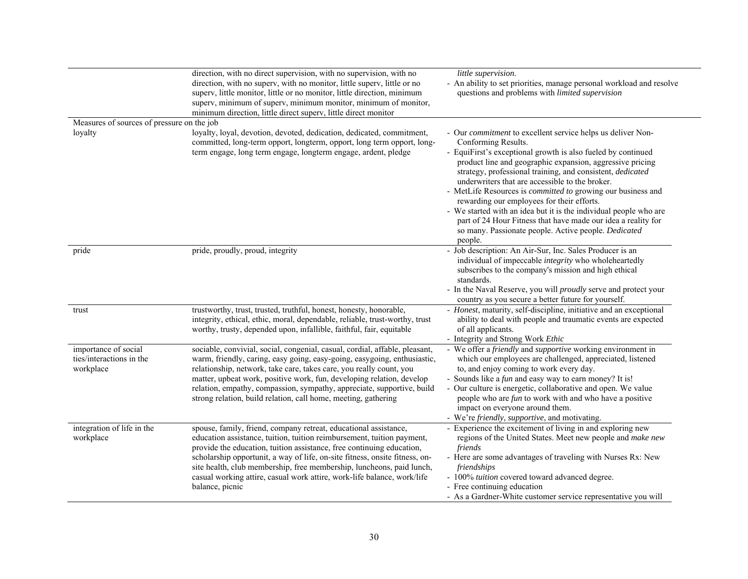|                                                               | direction, with no direct supervision, with no supervision, with no                                                                                                                                                                                                                                                                                                                                                                                                       | little supervision.                                                                                                                                                                                                                                                                                                                                                                                                                                                                                                                                                                                                                                            |
|---------------------------------------------------------------|---------------------------------------------------------------------------------------------------------------------------------------------------------------------------------------------------------------------------------------------------------------------------------------------------------------------------------------------------------------------------------------------------------------------------------------------------------------------------|----------------------------------------------------------------------------------------------------------------------------------------------------------------------------------------------------------------------------------------------------------------------------------------------------------------------------------------------------------------------------------------------------------------------------------------------------------------------------------------------------------------------------------------------------------------------------------------------------------------------------------------------------------------|
|                                                               | direction, with no superv, with no monitor, little superv, little or no<br>superv, little monitor, little or no monitor, little direction, minimum<br>superv, minimum of superv, minimum monitor, minimum of monitor,<br>minimum direction, little direct superv, little direct monitor                                                                                                                                                                                   | - An ability to set priorities, manage personal workload and resolve<br>questions and problems with limited supervision                                                                                                                                                                                                                                                                                                                                                                                                                                                                                                                                        |
| Measures of sources of pressure on the job                    |                                                                                                                                                                                                                                                                                                                                                                                                                                                                           |                                                                                                                                                                                                                                                                                                                                                                                                                                                                                                                                                                                                                                                                |
| loyalty                                                       | loyalty, loyal, devotion, devoted, dedication, dedicated, commitment,<br>committed, long-term opport, longterm, opport, long term opport, long-<br>term engage, long term engage, longterm engage, ardent, pledge                                                                                                                                                                                                                                                         | - Our commitment to excellent service helps us deliver Non-<br>Conforming Results.<br>- EquiFirst's exceptional growth is also fueled by continued<br>product line and geographic expansion, aggressive pricing<br>strategy, professional training, and consistent, dedicated<br>underwriters that are accessible to the broker.<br>- MetLife Resources is <i>committed to</i> growing our business and<br>rewarding our employees for their efforts.<br>- We started with an idea but it is the individual people who are<br>part of 24 Hour Fitness that have made our idea a reality for<br>so many. Passionate people. Active people. Dedicated<br>people. |
| pride                                                         | pride, proudly, proud, integrity                                                                                                                                                                                                                                                                                                                                                                                                                                          | - Job description: An Air-Sur, Inc. Sales Producer is an<br>individual of impeccable integrity who wholeheartedly<br>subscribes to the company's mission and high ethical<br>standards.<br>- In the Naval Reserve, you will <i>proudly</i> serve and protect your<br>country as you secure a better future for yourself.                                                                                                                                                                                                                                                                                                                                       |
| trust                                                         | trustworthy, trust, trusted, truthful, honest, honesty, honorable,<br>integrity, ethical, ethic, moral, dependable, reliable, trust-worthy, trust<br>worthy, trusty, depended upon, infallible, faithful, fair, equitable                                                                                                                                                                                                                                                 | - Honest, maturity, self-discipline, initiative and an exceptional<br>ability to deal with people and traumatic events are expected<br>of all applicants.<br>- Integrity and Strong Work Ethic                                                                                                                                                                                                                                                                                                                                                                                                                                                                 |
| importance of social<br>ties/interactions in the<br>workplace | sociable, convivial, social, congenial, casual, cordial, affable, pleasant,<br>warm, friendly, caring, easy going, easy-going, easygoing, enthusiastic,<br>relationship, network, take care, takes care, you really count, you<br>matter, upbeat work, positive work, fun, developing relation, develop<br>relation, empathy, compassion, sympathy, appreciate, supportive, build<br>strong relation, build relation, call home, meeting, gathering                       | - We offer a <i>friendly</i> and <i>supportive</i> working environment in<br>which our employees are challenged, appreciated, listened<br>to, and enjoy coming to work every day.<br>- Sounds like a <i>fun</i> and easy way to earn money? It is!<br>- Our culture is energetic, collaborative and open. We value<br>people who are <i>fun</i> to work with and who have a positive<br>impact on everyone around them.<br>- We're friendly, supportive, and motivating.                                                                                                                                                                                       |
| integration of life in the<br>workplace                       | spouse, family, friend, company retreat, educational assistance,<br>education assistance, tuition, tuition reimbursement, tuition payment,<br>provide the education, tuition assistance, free continuing education,<br>scholarship opportunit, a way of life, on-site fitness, onsite fitness, on-<br>site health, club membership, free membership, luncheons, paid lunch,<br>casual working attire, casual work attire, work-life balance, work/life<br>balance, picnic | - Experience the excitement of living in and exploring new<br>regions of the United States. Meet new people and make new<br>friends<br>- Here are some advantages of traveling with Nurses Rx: New<br>friendships<br>- 100% tuition covered toward advanced degree.<br>- Free continuing education<br>- As a Gardner-White customer service representative you will                                                                                                                                                                                                                                                                                            |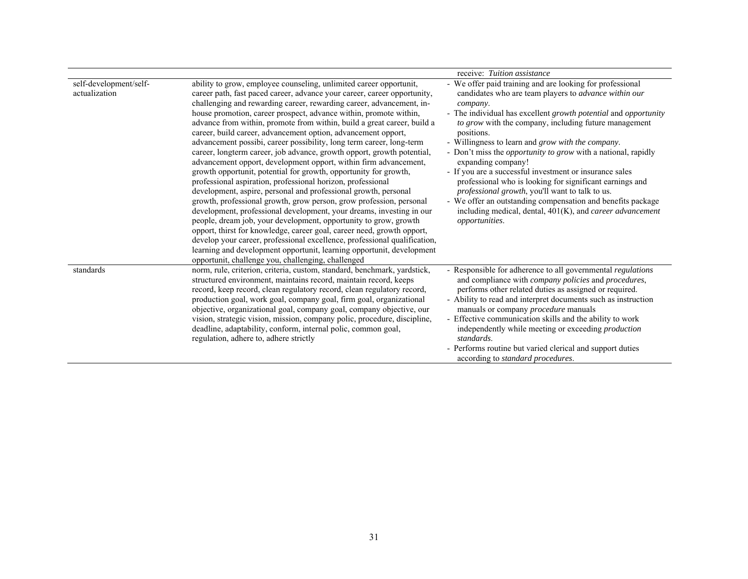|                                         |                                                                                                                                                                                                                                                                                                                                                                                                                                                                                                                                                                                                                                                                                                                                                                                                                                                                                                                                                                                                                                                                                                                                                                                                                                                                                                                                                                              | receive: Tuition assistance                                                                                                                                                                                                                                                                                                                                                                                                                                                                                                                                                                                                                                                                                                                                                  |
|-----------------------------------------|------------------------------------------------------------------------------------------------------------------------------------------------------------------------------------------------------------------------------------------------------------------------------------------------------------------------------------------------------------------------------------------------------------------------------------------------------------------------------------------------------------------------------------------------------------------------------------------------------------------------------------------------------------------------------------------------------------------------------------------------------------------------------------------------------------------------------------------------------------------------------------------------------------------------------------------------------------------------------------------------------------------------------------------------------------------------------------------------------------------------------------------------------------------------------------------------------------------------------------------------------------------------------------------------------------------------------------------------------------------------------|------------------------------------------------------------------------------------------------------------------------------------------------------------------------------------------------------------------------------------------------------------------------------------------------------------------------------------------------------------------------------------------------------------------------------------------------------------------------------------------------------------------------------------------------------------------------------------------------------------------------------------------------------------------------------------------------------------------------------------------------------------------------------|
| self-development/self-<br>actualization | ability to grow, employee counseling, unlimited career opportunit,<br>career path, fast paced career, advance your career, career opportunity,<br>challenging and rewarding career, rewarding career, advancement, in-<br>house promotion, career prospect, advance within, promote within,<br>advance from within, promote from within, build a great career, build a<br>career, build career, advancement option, advancement opport,<br>advancement possibi, career possibility, long term career, long-term<br>career, longterm career, job advance, growth opport, growth potential,<br>advancement opport, development opport, within firm advancement,<br>growth opportunit, potential for growth, opportunity for growth,<br>professional aspiration, professional horizon, professional<br>development, aspire, personal and professional growth, personal<br>growth, professional growth, grow person, grow profession, personal<br>development, professional development, your dreams, investing in our<br>people, dream job, your development, opportunity to grow, growth<br>opport, thirst for knowledge, career goal, career need, growth opport,<br>develop your career, professional excellence, professional qualification,<br>learning and development opportunit, learning opportunit, development<br>opportunit, challenge you, challenging, challenged | - We offer paid training and are looking for professional<br>candidates who are team players to <i>advance within our</i><br>company.<br>- The individual has excellent growth potential and opportunity<br>to grow with the company, including future management<br>positions.<br>- Willingness to learn and <i>grow with the company</i> .<br>- Don't miss the <i>opportunity to grow</i> with a national, rapidly<br>expanding company!<br>- If you are a successful investment or insurance sales<br>professional who is looking for significant earnings and<br>professional growth, you'll want to talk to us.<br>- We offer an outstanding compensation and benefits package<br>including medical, dental, $401(K)$ , and <i>career advancement</i><br>opportunities. |
| standards                               | norm, rule, criterion, criteria, custom, standard, benchmark, yardstick,<br>structured environment, maintains record, maintain record, keeps<br>record, keep record, clean regulatory record, clean regulatory record,<br>production goal, work goal, company goal, firm goal, organizational<br>objective, organizational goal, company goal, company objective, our<br>vision, strategic vision, mission, company polic, procedure, discipline,<br>deadline, adaptability, conform, internal polic, common goal,<br>regulation, adhere to, adhere strictly                                                                                                                                                                                                                                                                                                                                                                                                                                                                                                                                                                                                                                                                                                                                                                                                                 | - Responsible for adherence to all governmental regulations<br>and compliance with <i>company policies</i> and <i>procedures</i> ,<br>performs other related duties as assigned or required.<br>- Ability to read and interpret documents such as instruction<br>manuals or company <i>procedure</i> manuals<br>- Effective communication skills and the ability to work<br>independently while meeting or exceeding <i>production</i><br>standards.<br>- Performs routine but varied clerical and support duties<br>according to <i>standard</i> procedures.                                                                                                                                                                                                                |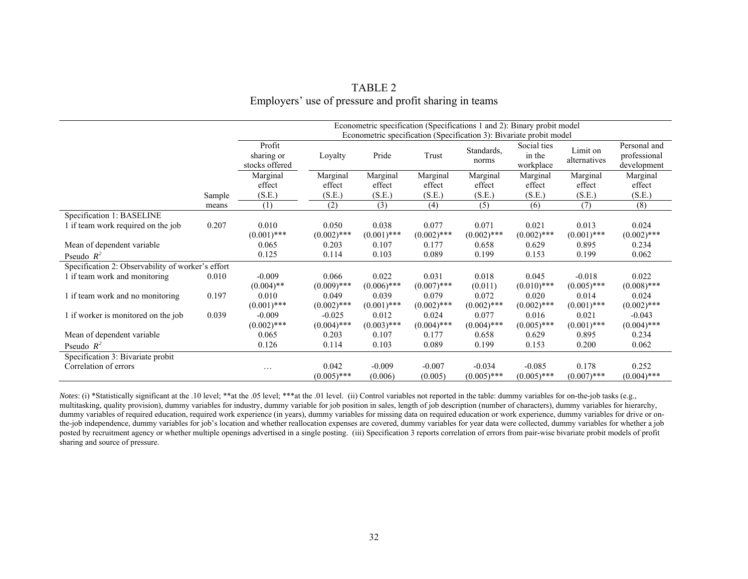|                                                   |        | Econometric specification (Specifications 1 and 2): Binary probit model<br>Econometric specification (Specification 3): Bivariate probit model |                                         |                                         |                                         |                                   |                                         |                                         |                                             |
|---------------------------------------------------|--------|------------------------------------------------------------------------------------------------------------------------------------------------|-----------------------------------------|-----------------------------------------|-----------------------------------------|-----------------------------------|-----------------------------------------|-----------------------------------------|---------------------------------------------|
|                                                   |        | Profit<br>sharing or<br>stocks offered                                                                                                         | Loyalty                                 | Pride                                   | Trust                                   | Standards,<br>norms               | Social ties<br>in the<br>workplace      | Limit on<br>alternatives                | Personal and<br>professional<br>development |
|                                                   |        | Marginal                                                                                                                                       | Marginal                                | Marginal                                | Marginal                                | Marginal                          | Marginal                                | Marginal                                | Marginal                                    |
|                                                   | Sample | effect<br>(S.E.)                                                                                                                               | effect<br>(S.E.)                        | effect<br>(S.E.)                        | effect<br>(S.E.)                        | effect<br>(S.E.)                  | effect<br>(S.E.)                        | effect<br>(S.E.)                        | effect<br>(S.E.)                            |
|                                                   | means  | (1)                                                                                                                                            | (2)                                     | (3)                                     | (4)                                     | (5)                               | (6)                                     | (7)                                     | (8)                                         |
| Specification 1: BASELINE                         |        |                                                                                                                                                |                                         |                                         |                                         |                                   |                                         |                                         |                                             |
| 1 if team work required on the job                | 0.207  | 0.010<br>$(0.001)$ ***                                                                                                                         | 0.050<br>$(0.002)$ ***                  | 0.038<br>$(0.001)$ ***                  | 0.077<br>$(0.002)$ ***                  | 0.071<br>$(0.002)$ ***            | 0.021<br>$(0.002)$ ***                  | 0.013<br>$(0.001)$ ***                  | 0.024<br>$(0.002)$ ***                      |
| Mean of dependent variable                        |        | 0.065                                                                                                                                          | 0.203                                   | 0.107                                   | 0.177                                   | 0.658                             | 0.629                                   | 0.895                                   | 0.234                                       |
| Pseudo $R^2$                                      |        | 0.125                                                                                                                                          | 0.114                                   | 0.103                                   | 0.089                                   | 0.199                             | 0.153                                   | 0.199                                   | 0.062                                       |
| Specification 2: Observability of worker's effort |        |                                                                                                                                                |                                         |                                         |                                         |                                   |                                         |                                         |                                             |
| 1 if team work and monitoring                     | 0.010  | $-0.009$                                                                                                                                       | 0.066                                   | 0.022                                   | 0.031                                   | 0.018                             | 0.045                                   | $-0.018$                                | 0.022                                       |
| 1 if team work and no monitoring                  | 0.197  | $(0.004)$ **<br>0.010<br>$(0.001)$ ***                                                                                                         | $(0.009)$ ***<br>0.049<br>$(0.002)$ *** | $(0.006)$ ***<br>0.039<br>$(0.001)$ *** | $(0.007)$ ***<br>0.079<br>$(0.002)$ *** | (0.011)<br>0.072<br>$(0.002)$ *** | $(0.010)$ ***<br>0.020<br>$(0.002)$ *** | $(0.005)$ ***<br>0.014<br>$(0.001)$ *** | $(0.008)$ ***<br>0.024<br>$(0.002)$ ***     |
| 1 if worker is monitored on the job               | 0.039  | $-0.009$<br>$(0.002)$ ***                                                                                                                      | $-0.025$<br>$(0.004)$ ***               | 0.012<br>$(0.003)$ ***                  | 0.024<br>$(0.004)$ ***                  | 0.077<br>$(0.004)$ ***            | 0.016<br>$(0.005)$ ***                  | 0.021<br>$(0.001)$ ***                  | $-0.043$<br>$(0.004)$ ***                   |
| Mean of dependent variable                        |        | 0.065                                                                                                                                          | 0.203                                   | 0.107                                   | 0.177                                   | 0.658                             | 0.629                                   | 0.895                                   | 0.234                                       |
| Pseudo $R^2$                                      |        | 0.126                                                                                                                                          | 0.114                                   | 0.103                                   | 0.089                                   | 0.199                             | 0.153                                   | 0.200                                   | 0.062                                       |
| Specification 3: Bivariate probit                 |        |                                                                                                                                                |                                         |                                         |                                         |                                   |                                         |                                         |                                             |
| Correlation of errors                             |        | $\cdots$                                                                                                                                       | 0.042<br>$(0.005)$ ***                  | $-0.009$<br>(0.006)                     | $-0.007$<br>(0.005)                     | $-0.034$<br>$(0.005)$ ***         | $-0.085$<br>$(0.005)$ ***               | 0.178<br>$(0.007)$ ***                  | 0.252<br>$(0.004)$ ***                      |

# TABLE 2 Employers' use of pressure and profit sharing in teams

*Notes*: (i) \*Statistically significant at the .10 level; \*\*at the .05 level; \*\*\*at the .01 level. (ii) Control variables not reported in the table: dummy variables for on-the-job tasks (e.g., multitasking, quality provision), dummy variables for industry, dummy variable for job position in sales, length of job description (number of characters), dummy variables for hierarchy, dummy variables of required education, required work experience (in years), dummy variables for missing data on required education or work experience, dummy variables for drive or onthe-job independence, dummy variables for job's location and whether reallocation expenses are covered, dummy variables for year data were collected, dummy variables for whether a job posted by recruitment agency or whether multiple openings advertised in a single posting. (iii) Specification 3 reports correlation of errors from pair-wise bivariate probit models of profit sharing and source of pressure.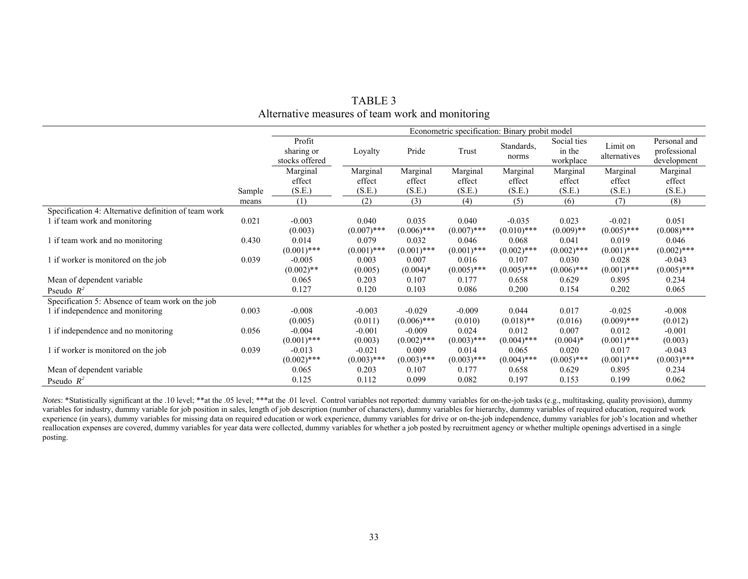|                                                      |        | Econometric specification: Binary probit model |                        |                        |                        |                           |                                    |                           |                                             |
|------------------------------------------------------|--------|------------------------------------------------|------------------------|------------------------|------------------------|---------------------------|------------------------------------|---------------------------|---------------------------------------------|
|                                                      |        | Profit<br>sharing or<br>stocks offered         | Loyalty                | Pride                  | Trust                  | Standards,<br>norms       | Social ties<br>in the<br>workplace | Limit on<br>alternatives  | Personal and<br>professional<br>development |
|                                                      |        | Marginal                                       | Marginal               | Marginal               | Marginal               | Marginal                  | Marginal                           | Marginal                  | Marginal                                    |
|                                                      |        | effect                                         | effect                 | effect                 | effect                 | effect                    | effect                             | effect                    | effect                                      |
|                                                      | Sample | (S.E.)                                         | (S.E.)                 | (S.E.)                 | (S.E.)                 | (S.E.)                    | (S.E.)                             | (S.E.)                    | (S.E.)                                      |
|                                                      | means  | (1)                                            | (2)                    | (3)                    | (4)                    | (5)                       | (6)                                | (7)                       | (8)                                         |
| Specification 4: Alternative definition of team work |        |                                                |                        |                        |                        |                           |                                    |                           |                                             |
| 1 if team work and monitoring                        | 0.021  | $-0.003$<br>(0.003)                            | 0.040<br>$(0.007)$ *** | 0.035<br>$(0.006)$ *** | 0.040<br>$(0.007)$ *** | $-0.035$<br>$(0.010)$ *** | 0.023<br>$(0.009)$ **              | $-0.021$<br>$(0.005)$ *** | 0.051<br>$(0.008)$ ***                      |
| 1 if team work and no monitoring                     | 0.430  | 0.014<br>$(0.001)$ ***                         | 0.079<br>$(0.001)$ *** | 0.032<br>$(0.001)$ *** | 0.046<br>$(0.001)$ *** | 0.068<br>$(0.002)$ ***    | 0.041<br>$(0.002)$ ***             | 0.019<br>$(0.001)$ ***    | 0.046<br>$(0.002)$ ***                      |
| 1 if worker is monitored on the job                  | 0.039  | $-0.005$<br>$(0.002)$ **                       | 0.003<br>(0.005)       | 0.007<br>$(0.004)$ *   | 0.016<br>$(0.005)$ *** | 0.107<br>$(0.005)$ ***    | 0.030<br>$(0.006)$ ***             | 0.028<br>$(0.001)$ ***    | $-0.043$<br>$(0.005)$ ***                   |
| Mean of dependent variable                           |        | 0.065                                          | 0.203                  | 0.107                  | 0.177                  | 0.658                     | 0.629                              | 0.895                     | 0.234                                       |
| Pseudo $R^2$                                         |        | 0.127                                          | 0.120                  | 0.103                  | 0.086                  | 0.200                     | 0.154                              | 0.202                     | 0.065                                       |
| Specification 5: Absence of team work on the job     |        |                                                |                        |                        |                        |                           |                                    |                           |                                             |
| 1 if independence and monitoring                     | 0.003  | $-0.008$                                       | $-0.003$               | $-0.029$               | $-0.009$               | 0.044                     | 0.017                              | $-0.025$                  | $-0.008$                                    |
|                                                      |        | (0.005)                                        | (0.011)                | $(0.006)$ ***          | (0.010)                | $(0.018)$ **              | (0.016)                            | $(0.009)$ ***             | (0.012)                                     |
| 1 if independence and no monitoring                  | 0.056  | $-0.004$                                       | $-0.001$               | $-0.009$               | 0.024                  | 0.012                     | 0.007                              | 0.012                     | $-0.001$                                    |
|                                                      |        | $(0.001)$ ***                                  | (0.003)                | $(0.002)$ ***          | $(0.003)$ ***          | $(0.004)$ ***             | $(0.004)*$                         | $(0.001)$ ***             | (0.003)                                     |
| 1 if worker is monitored on the job                  | 0.039  | $-0.013$                                       | $-0.021$               | 0.009                  | 0.014                  | 0.065                     | 0.020                              | 0.017                     | $-0.043$                                    |
|                                                      |        | $(0.002)$ ***                                  | $(0.003)$ ***          | $(0.003)$ ***          | $(0.003)$ ***          | $(0.004)$ ***             | $(0.005)$ ***                      | $(0.001)$ ***             | $(0.003)$ ***                               |
| Mean of dependent variable                           |        | 0.065                                          | 0.203                  | 0.107                  | 0.177                  | 0.658                     | 0.629                              | 0.895                     | 0.234                                       |
| Pseudo $R^2$                                         |        | 0.125                                          | 0.112                  | 0.099                  | 0.082                  | 0.197                     | 0.153                              | 0.199                     | 0.062                                       |

TABLE 3 Alternative measures of team work and monitoring

*Notes*: \*Statistically significant at the .10 level; \*\*at the .05 level; \*\*\*at the .01 level. Control variables not reported: dummy variables for on-the-job tasks (e.g., multitasking, quality provision), dummy variables for industry, dummy variable for job position in sales, length of job description (number of characters), dummy variables for hierarchy, dummy variables of required education, required work experience (in years), dummy variables for missing data on required education or work experience, dummy variables for drive or on-the-job independence, dummy variables for job's location and whether experience (in years), reallocation expenses are covered, dummy variables for year data were collected, dummy variables for whether a job posted by recruitment agency or whether multiple openings advertised in a single posting.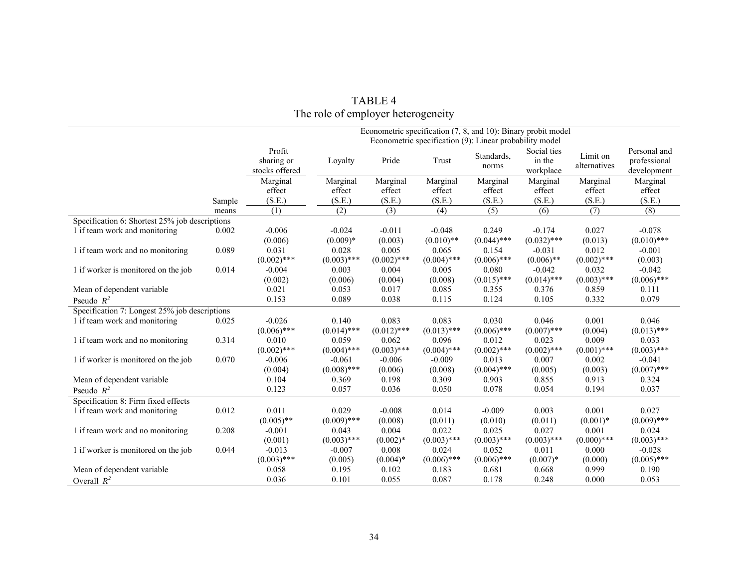|                                                |        |                                        |                        |                        | Econometric specification (9): Linear probability model |                        | Econometric specification (7, 8, and 10): Binary probit model |                          |                                             |
|------------------------------------------------|--------|----------------------------------------|------------------------|------------------------|---------------------------------------------------------|------------------------|---------------------------------------------------------------|--------------------------|---------------------------------------------|
|                                                |        | Profit<br>sharing or<br>stocks offered | Loyalty                | Pride                  | Trust                                                   | Standards,<br>norms    | Social ties<br>in the<br>workplace                            | Limit on<br>alternatives | Personal and<br>professional<br>development |
|                                                |        | Marginal                               | Marginal               | Marginal               | Marginal                                                | Marginal               | Marginal                                                      | Marginal                 | Marginal                                    |
|                                                |        | effect                                 | effect                 | effect                 | effect                                                  | effect                 | effect                                                        | effect                   | effect                                      |
|                                                | Sample | (S.E.)                                 | (S.E.)                 | (S.E.)                 | (S.E.)                                                  | (S.E.)                 | (S.E.)                                                        | (S.E.)                   | (S.E.)                                      |
|                                                | means  | $\overline{(1)}$                       | (2)                    | (3)                    | (4)                                                     | (5)                    | (6)                                                           | (7)                      | $\overline{(8)}$                            |
| Specification 6: Shortest 25% job descriptions |        |                                        |                        |                        |                                                         |                        |                                                               |                          |                                             |
| 1 if team work and monitoring                  | 0.002  | $-0.006$                               | $-0.024$               | $-0.011$               | $-0.048$                                                | 0.249                  | $-0.174$<br>$(0.032)$ ***                                     | 0.027                    | $-0.078$                                    |
|                                                | 0.089  | (0.006)                                | $(0.009)*$             | (0.003)                | $(0.010)$ **                                            | $(0.044)$ ***          |                                                               | (0.013)                  | $(0.010)$ ***                               |
| 1 if team work and no monitoring               |        | 0.031<br>$(0.002)$ ***                 | 0.028                  | 0.005                  | 0.065<br>$(0.004)$ ***                                  | 0.154<br>$(0.006)$ *** | $-0.031$                                                      | 0.012                    | $-0.001$                                    |
| 1 if worker is monitored on the job            | 0.014  | $-0.004$                               | $(0.003)$ ***<br>0.003 | $(0.002)$ ***<br>0.004 | 0.005                                                   | 0.080                  | $(0.006)$ **<br>$-0.042$                                      | $(0.002)$ ***<br>0.032   | (0.003)<br>$-0.042$                         |
|                                                |        | (0.002)                                |                        |                        |                                                         | $(0.015)$ ***          | $(0.014)$ ***                                                 | $(0.003)$ ***            | $(0.006)$ ***                               |
| Mean of dependent variable                     |        | 0.021                                  | (0.006)<br>0.053       | (0.004)<br>0.017       | (0.008)<br>0.085                                        | 0.355                  | 0.376                                                         | 0.859                    | 0.111                                       |
|                                                |        | 0.153                                  | 0.089                  | 0.038                  | 0.115                                                   | 0.124                  | 0.105                                                         | 0.332                    | 0.079                                       |
| Pseudo $R^2$                                   |        |                                        |                        |                        |                                                         |                        |                                                               |                          |                                             |
| Specification 7: Longest 25% job descriptions  |        |                                        |                        |                        |                                                         |                        |                                                               |                          |                                             |
| 1 if team work and monitoring                  | 0.025  | $-0.026$                               | 0.140                  | 0.083                  | 0.083                                                   | 0.030                  | 0.046                                                         | 0.001                    | 0.046                                       |
|                                                |        | $(0.006)$ ***                          | $(0.014)$ ***          | $(0.012)$ ***          | $(0.013)$ ***                                           | $(0.006)$ ***          | $(0.007)$ ***                                                 | (0.004)                  | $(0.013)$ ***                               |
| 1 if team work and no monitoring               | 0.314  | 0.010<br>$(0.002)$ ***                 | 0.059<br>$(0.004)$ *** | 0.062<br>$(0.003)$ *** | 0.096<br>$(0.004)$ ***                                  | 0.012<br>$(0.002)$ *** | 0.023<br>$(0.002)$ ***                                        | 0.009<br>$(0.001)$ ***   | 0.033<br>$(0.003)$ ***                      |
| 1 if worker is monitored on the job            | 0.070  | $-0.006$                               | $-0.061$               | $-0.006$               | $-0.009$                                                | 0.013                  | 0.007                                                         | 0.002                    | $-0.041$                                    |
|                                                |        | (0.004)                                | $(0.008)$ ***          | (0.006)                | (0.008)                                                 | $(0.004)$ ***          | (0.005)                                                       | (0.003)                  | $(0.007)$ ***                               |
| Mean of dependent variable                     |        | 0.104                                  | 0.369                  | 0.198                  | 0.309                                                   | 0.903                  | 0.855                                                         | 0.913                    | 0.324                                       |
| Pseudo $R^2$                                   |        | 0.123                                  | 0.057                  | 0.036                  | 0.050                                                   | 0.078                  | 0.054                                                         | 0.194                    | 0.037                                       |
|                                                |        |                                        |                        |                        |                                                         |                        |                                                               |                          |                                             |
| Specification 8: Firm fixed effects            |        |                                        |                        |                        |                                                         |                        |                                                               |                          |                                             |
| 1 if team work and monitoring                  | 0.012  | 0.011<br>$(0.005)$ **                  | 0.029<br>$(0.009)$ *** | $-0.008$<br>(0.008)    | 0.014<br>(0.011)                                        | $-0.009$<br>(0.010)    | 0.003<br>(0.011)                                              | 0.001<br>$(0.001)^*$     | 0.027<br>$(0.009)$ ***                      |
|                                                | 0.208  | $-0.001$                               | 0.043                  | 0.004                  | 0.022                                                   | 0.025                  | 0.027                                                         | 0.001                    | 0.024                                       |
| 1 if team work and no monitoring               |        | (0.001)                                | $(0.003)$ ***          | $(0.002)*$             | $(0.003)$ ***                                           | $(0.003)$ ***          | $(0.003)$ ***                                                 | $(0.000)$ ***            | $(0.003)$ ***                               |
| 1 if worker is monitored on the job            | 0.044  | $-0.013$                               | $-0.007$               | 0.008                  | 0.024                                                   | 0.052                  | 0.011                                                         | 0.000                    | $-0.028$                                    |
|                                                |        | $(0.003)$ ***                          | (0.005)                | $(0.004)*$             | $(0.006)$ ***                                           | $(0.006)$ ***          | $(0.007)*$                                                    | (0.000)                  | $(0.005)$ ***                               |
| Mean of dependent variable                     |        | 0.058                                  | 0.195                  | 0.102                  | 0.183                                                   | 0.681                  | 0.668                                                         | 0.999                    | 0.190                                       |
| Overall $R^2$                                  |        | 0.036                                  | 0.101                  | 0.055                  | 0.087                                                   | 0.178                  | 0.248                                                         | 0.000                    | 0.053                                       |
|                                                |        |                                        |                        |                        |                                                         |                        |                                                               |                          |                                             |

| TABLE 4                            |
|------------------------------------|
| The role of employer heterogeneity |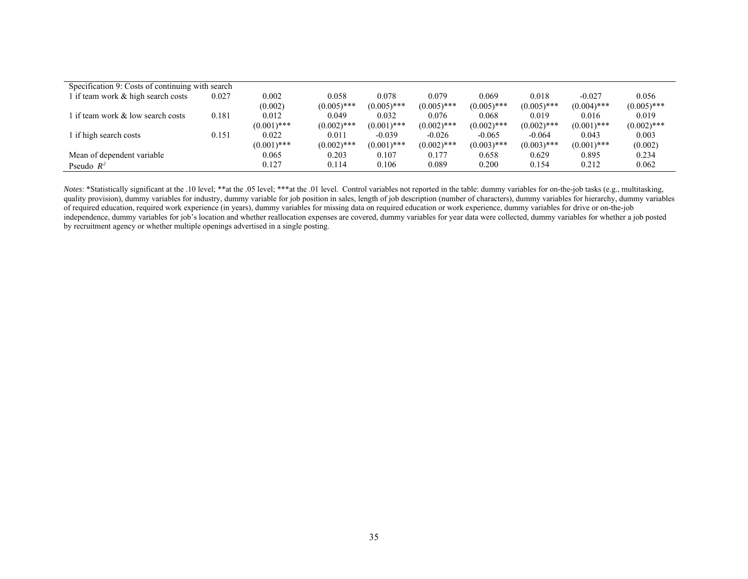| Specification 9: Costs of continuing with search |       |               |               |               |               |               |               |               |               |
|--------------------------------------------------|-------|---------------|---------------|---------------|---------------|---------------|---------------|---------------|---------------|
| 1 if team work $\&$ high search costs            | 0.027 | 0.002         | 0.058         | 0.078         | 0.079         | 0.069         | 0.018         | $-0.027$      | 0.056         |
|                                                  |       | (0.002)       | $(0.005)$ *** | $(0.005)$ *** | $(0.005)$ *** | $(0.005)$ *** | $(0.005)$ *** | $(0.004)$ *** | $(0.005)$ *** |
| l if team work & low search costs                | 0.181 | 0.012         | 0.049         | 0.032         | 0.076         | 0.068         | 0.019         | 0.016         | 0.019         |
|                                                  |       | $(0.001)$ *** | $(0.002)$ *** | $(0.001)$ *** | $(0.002)$ *** | $(0.002)$ *** | $(0.002)$ *** | $(0.001)$ *** | $(0.002)$ *** |
| 1 if high search costs                           | 0.151 | 0.022         | 0.011         | $-0.039$      | $-0.026$      | $-0.065$      | $-0.064$      | 0.043         | 0.003         |
|                                                  |       | $(0.001)$ *** | $(0.002)$ *** | $(0.001)$ *** | $(0.002)$ *** | $(0.003)$ *** | $(0.003)$ *** | $(0.001)$ *** | (0.002)       |
| Mean of dependent variable                       |       | 0.065         | 0.203         | 0.107         | 0.177         | 0.658         | 0.629         | 0.895         | 0.234         |
| Pseudo $R^2$                                     |       | 0.127         | 0.114         | 0.106         | 0.089         | 0.200         | 0.154         | 0.212         | 0.062         |

*Notes*: \*Statistically significant at the .10 level; \*\*at the .05 level; \*\*\*at the .01 level. Control variables not reported in the table: dummy variables for on-the-job tasks (e.g., multitasking, quality provision), dummy variables for industry, dummy variable for job position in sales, length of job description (number of characters), dummy variables for hierarchy, dummy variables of required education, required work experience (in years), dummy variables for missing data on required education or work experience, dummy variables for drive or on-the-job independence, dummy variables for job's location and whether reallocation expenses are covered, dummy variables for year data were collected, dummy variables for whether a job posted by recruitment agency or whether multiple openings advertised in a single posting.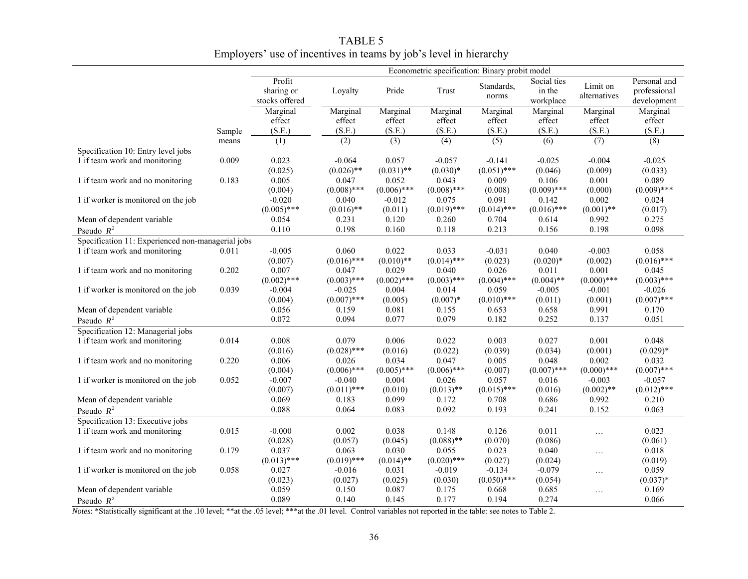|                                                   | Econometric specification: Binary probit model |                     |                        |                        |                        |                  |                        |                  |                        |
|---------------------------------------------------|------------------------------------------------|---------------------|------------------------|------------------------|------------------------|------------------|------------------------|------------------|------------------------|
|                                                   |                                                | Profit              |                        |                        |                        | Standards,       | Social ties            | Limit on         | Personal and           |
|                                                   |                                                | sharing or          | Loyalty                | Pride                  | Trust                  | norms            | in the                 | alternatives     | professional           |
|                                                   |                                                | stocks offered      |                        |                        |                        |                  | workplace              |                  | development            |
|                                                   |                                                | Marginal            | Marginal               | Marginal               | Marginal               | Marginal         | Marginal               | Marginal         | Marginal               |
|                                                   |                                                | effect              | effect                 | effect                 | effect                 | effect           | effect                 | effect           | effect                 |
|                                                   | Sample                                         | (S.E.)              | (S.E.)                 | (S.E.)                 | (S.E.)                 | (S.E.)           | (S.E.)                 | (S.E.)           | (S.E.)                 |
|                                                   | means                                          | $\overline{(1)}$    | $\overline{(2)}$       | $\overline{(3)}$       | (4)                    | $\overline{(5)}$ | (6)                    | $\overline{(7)}$ | $\overline{(8)}$       |
| Specification 10: Entry level jobs                |                                                |                     |                        |                        |                        |                  |                        |                  |                        |
| 1 if team work and monitoring                     | 0.009                                          | 0.023               | $-0.064$               | 0.057                  | $-0.057$               | $-0.141$         | $-0.025$               | $-0.004$         | $-0.025$               |
|                                                   |                                                | (0.025)             | $(0.026)$ **           | $(0.031)$ **           | $(0.030)*$             | $(0.051)$ ***    | (0.046)                | (0.009)          | (0.033)                |
| 1 if team work and no monitoring                  | 0.183                                          | 0.005               | 0.047<br>$(0.008)$ *** | 0.052<br>$(0.006)$ *** | 0.043<br>$(0.008)$ *** | 0.009            | 0.106                  | 0.001            | 0.089<br>$(0.009)$ *** |
|                                                   |                                                | (0.004)<br>$-0.020$ | 0.040                  | $-0.012$               | 0.075                  | (0.008)<br>0.091 | $(0.009)$ ***          | (0.000)<br>0.002 | 0.024                  |
| 1 if worker is monitored on the job               |                                                | $(0.005)$ ***       | $(0.016)$ **           | (0.011)                | $(0.019)$ ***          | $(0.014)$ ***    | 0.142<br>$(0.016)$ *** | $(0.001)$ **     | (0.017)                |
| Mean of dependent variable                        |                                                | 0.054               | 0.231                  | 0.120                  | 0.260                  | 0.704            | 0.614                  | 0.992            | 0.275                  |
| Pseudo $R^2$                                      |                                                | 0.110               | 0.198                  | 0.160                  | 0.118                  | 0.213            | 0.156                  | 0.198            | 0.098                  |
| Specification 11: Experienced non-managerial jobs |                                                |                     |                        |                        |                        |                  |                        |                  |                        |
| 1 if team work and monitoring                     | 0.011                                          | $-0.005$            | 0.060                  | 0.022                  | 0.033                  | $-0.031$         | 0.040                  | $-0.003$         | 0.058                  |
|                                                   |                                                | (0.007)             | $(0.016)$ ***          | $(0.010)$ **           | $(0.014)$ ***          | (0.023)          | $(0.020)*$             |                  | $(0.016)$ ***          |
| 1 if team work and no monitoring                  | 0.202                                          | 0.007               | 0.047                  | 0.029                  | 0.040                  | 0.026            | 0.011                  | (0.002)<br>0.001 | 0.045                  |
|                                                   |                                                | $(0.002)$ ***       | $(0.003)$ ***          | $(0.002)$ ***          | $(0.003)$ ***          | $(0.004)$ ***    | $(0.004)$ **           | $(0.000)$ ***    | $(0.003)$ ***          |
| 1 if worker is monitored on the job               | 0.039                                          | $-0.004$            | $-0.025$               | 0.004                  | 0.014                  | 0.059            | $-0.005$               | $-0.001$         | $-0.026$               |
|                                                   |                                                | (0.004)             | $(0.007)$ ***          | (0.005)                | $(0.007)*$             | $(0.010)$ ***    | (0.011)                | (0.001)          | $(0.007)$ ***          |
| Mean of dependent variable                        |                                                | 0.056               | 0.159                  | 0.081                  | 0.155                  | 0.653            | 0.658                  | 0.991            | 0.170                  |
| Pseudo $R^2$                                      |                                                | 0.072               | 0.094                  | 0.077                  | 0.079                  | 0.182            | 0.252                  | 0.137            | 0.051                  |
| Specification 12: Managerial jobs                 |                                                |                     |                        |                        |                        |                  |                        |                  |                        |
| 1 if team work and monitoring                     | 0.014                                          | 0.008               | 0.079                  | 0.006                  | 0.022                  | 0.003            | 0.027                  | 0.001            | 0.048                  |
|                                                   |                                                | (0.016)             | $(0.028)$ ***          | (0.016)                | (0.022)                | (0.039)          | (0.034)                | (0.001)          | $(0.029)*$             |
| 1 if team work and no monitoring                  | 0.220                                          | 0.006               | 0.026                  | 0.034                  | 0.047                  | 0.005            | 0.048                  | 0.002            | 0.032                  |
|                                                   |                                                | (0.004)             | $(0.006)$ ***          | $(0.005)$ ***          | $(0.006)$ ***          | (0.007)          | $(0.007)$ ***          | $(0.000)$ ***    | $(0.007)$ ***          |
| 1 if worker is monitored on the job               | 0.052                                          | $-0.007$            | $-0.040$               | 0.004                  | 0.026                  | 0.057            | 0.016                  | $-0.003$         | $-0.057$               |
|                                                   |                                                | (0.007)             | $(0.011)$ ***          | (0.010)                | $(0.013)$ **           | $(0.015)$ ***    | (0.016)                | $(0.002)$ **     | $(0.012)$ ***          |
| Mean of dependent variable                        |                                                | 0.069               | 0.183                  | 0.099                  | 0.172                  | 0.708            | 0.686                  | 0.992            | 0.210                  |
| Pseudo $R^2$                                      |                                                | 0.088               | 0.064                  | 0.083                  | 0.092                  | 0.193            | 0.241                  | 0.152            | 0.063                  |
| Specification 13: Executive jobs                  |                                                |                     |                        |                        |                        |                  |                        |                  |                        |
| 1 if team work and monitoring                     | 0.015                                          | $-0.000$            | 0.002                  | 0.038                  | 0.148                  | 0.126            | 0.011                  | $\ldots$         | 0.023                  |
|                                                   |                                                | (0.028)             | (0.057)                | (0.045)                | $(0.088)$ **           | (0.070)          | (0.086)                |                  | (0.061)                |
| 1 if team work and no monitoring                  | 0.179                                          | 0.037               | 0.063                  | 0.030                  | 0.055                  | 0.023            | 0.040                  | $\ldots$         | 0.018                  |
|                                                   |                                                | $(0.013)$ ***       | $(0.019)$ ***          | $(0.014)$ **           | $(0.020)$ ***          | (0.027)          | (0.024)                |                  | (0.019)                |
| 1 if worker is monitored on the job               | 0.058                                          | 0.027               | $-0.016$               | 0.031                  | $-0.019$               | $-0.134$         | $-0.079$               | $\ldots$         | 0.059                  |
|                                                   |                                                | (0.023)             | (0.027)                | (0.025)                | (0.030)                | $(0.050)$ ***    | (0.054)                |                  | $(0.037)*$             |
| Mean of dependent variable                        |                                                | 0.059               | 0.150                  | 0.087                  | 0.175                  | 0.668            | 0.685                  | $\ldots$         | 0.169                  |
| Pseudo $R^2$                                      |                                                | 0.089               | 0.140                  | 0.145                  | 0.177                  | 0.194            | 0.274                  |                  | 0.066                  |

TABLE 5 Employers' use of incentives in teams by job's level in hierarchy

*Notes*: \*Statistically significant at the .10 level; \*\*at the .05 level; \*\*\*at the .01 level. Control variables not reported in the table: see notes to Table 2.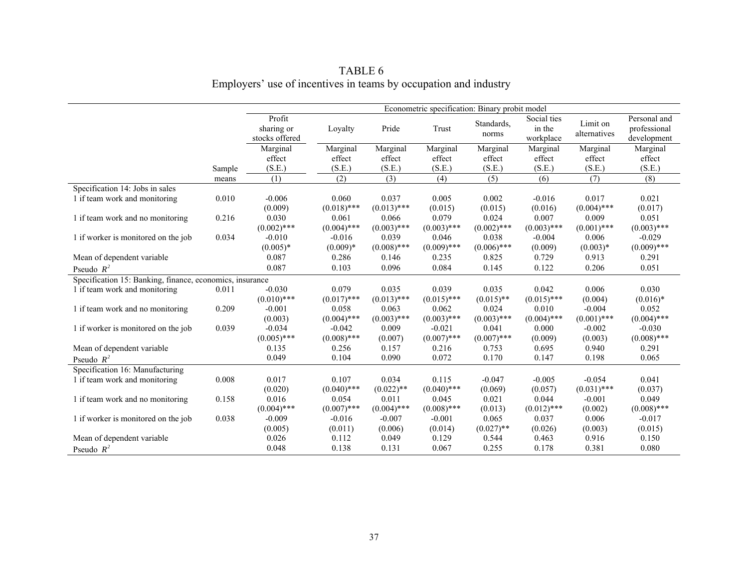|                                                          |        | Econometric specification: Binary probit model |               |               |               |                     |                                    |                          |                                             |
|----------------------------------------------------------|--------|------------------------------------------------|---------------|---------------|---------------|---------------------|------------------------------------|--------------------------|---------------------------------------------|
|                                                          |        | Profit<br>sharing or<br>stocks offered         | Loyalty       | Pride         | Trust         | Standards,<br>norms | Social ties<br>in the<br>workplace | Limit on<br>alternatives | Personal and<br>professional<br>development |
|                                                          |        | Marginal                                       | Marginal      | Marginal      | Marginal      | Marginal            | Marginal                           | Marginal                 | Marginal                                    |
|                                                          |        | effect                                         | effect        | effect        | effect        | effect              | effect                             | effect                   | effect                                      |
|                                                          | Sample | (S.E.)                                         | (S.E.)        | (S.E.)        | (S.E.)        | (S.E.)              | (S.E.)                             | (S.E.)                   | (S.E.)                                      |
|                                                          | means  | (1)                                            | (2)           | (3)           | (4)           | (5)                 | (6)                                | (7)                      | (8)                                         |
| Specification 14: Jobs in sales                          |        |                                                |               |               |               |                     |                                    |                          |                                             |
| 1 if team work and monitoring                            | 0.010  | $-0.006$                                       | 0.060         | 0.037         | 0.005         | 0.002               | $-0.016$                           | 0.017                    | 0.021                                       |
|                                                          |        | (0.009)                                        | $(0.018)$ *** | $(0.013)$ *** | (0.015)       | (0.015)             | (0.016)                            | $(0.004)$ ***            | (0.017)                                     |
| 1 if team work and no monitoring                         | 0.216  | 0.030                                          | 0.061         | 0.066         | 0.079         | 0.024               | 0.007                              | 0.009                    | 0.051                                       |
|                                                          |        | $(0.002)$ ***                                  | $(0.004)$ *** | $(0.003)$ *** | $(0.003)$ *** | $(0.002)$ ***       | $(0.003)$ ***                      | $(0.001)$ ***            | $(0.003)$ ***                               |
| 1 if worker is monitored on the job                      | 0.034  | $-0.010$                                       | $-0.016$      | 0.039         | 0.046         | 0.038               | $-0.004$                           | 0.006                    | $-0.029$                                    |
|                                                          |        | $(0.005)*$                                     | $(0.009)*$    | $(0.008)$ *** | $(0.009)$ *** | $(0.006)$ ***       | (0.009)                            | $(0.003)*$               | $(0.009)$ ***                               |
| Mean of dependent variable                               |        | 0.087                                          | 0.286         | 0.146         | 0.235         | 0.825               | 0.729                              | 0.913                    | 0.291                                       |
| Pseudo $R^2$                                             |        | 0.087                                          | 0.103         | 0.096         | 0.084         | 0.145               | 0.122                              | 0.206                    | 0.051                                       |
| Specification 15: Banking, finance, economics, insurance |        |                                                |               |               |               |                     |                                    |                          |                                             |
| 1 if team work and monitoring                            | 0.011  | $-0.030$                                       | 0.079         | 0.035         | 0.039         | 0.035               | 0.042                              | 0.006                    | 0.030                                       |
|                                                          |        | $(0.010)$ ***                                  | $(0.017)$ *** | $(0.013)$ *** | $(0.015)$ *** | $(0.015)$ **        | $(0.015)$ ***                      | (0.004)                  | $(0.016)*$                                  |
| 1 if team work and no monitoring                         | 0.209  | $-0.001$                                       | 0.058         | 0.063         | 0.062         | 0.024               | 0.010                              | $-0.004$                 | 0.052                                       |
|                                                          |        | (0.003)                                        | $(0.004)$ *** | $(0.003)$ *** | $(0.003)$ *** | $(0.003)$ ***       | $(0.004)$ ***                      | $(0.001)$ ***            | $(0.004)$ ***                               |
| 1 if worker is monitored on the job                      | 0.039  | $-0.034$                                       | $-0.042$      | 0.009         | $-0.021$      | 0.041               | 0.000                              | $-0.002$                 | $-0.030$                                    |
|                                                          |        | $(0.005)$ ***                                  | $(0.008)$ *** | (0.007)       | $(0.007)$ *** | $(0.007)$ ***       | (0.009)                            | (0.003)                  | $(0.008)$ ***                               |
| Mean of dependent variable                               |        | 0.135                                          | 0.256         | 0.157         | 0.216         | 0.753               | 0.695                              | 0.940                    | 0.291                                       |
| Pseudo $R^2$                                             |        | 0.049                                          | 0.104         | 0.090         | 0.072         | 0.170               | 0.147                              | 0.198                    | 0.065                                       |
| Specification 16: Manufacturing                          |        |                                                |               |               |               |                     |                                    |                          |                                             |
| 1 if team work and monitoring                            | 0.008  | 0.017                                          | 0.107         | 0.034         | 0.115         | $-0.047$            | $-0.005$                           | $-0.054$                 | 0.041                                       |
|                                                          |        | (0.020)                                        | $(0.040)$ *** | $(0.022)$ **  | $(0.040)$ *** | (0.069)             | (0.057)                            | $(0.031)$ ***            | (0.037)                                     |
| 1 if team work and no monitoring                         | 0.158  | 0.016                                          | 0.054         | 0.011         | 0.045         | 0.021               | 0.044                              | $-0.001$                 | 0.049                                       |
|                                                          |        | $(0.004)$ ***                                  | $(0.007)$ *** | $(0.004)$ *** | $(0.008)$ *** | (0.013)             | $(0.012)$ ***                      | (0.002)                  | $(0.008)$ ***                               |
| 1 if worker is monitored on the job                      | 0.038  | $-0.009$                                       | $-0.016$      | $-0.007$      | $-0.001$      | 0.065               | 0.037                              | 0.006                    | $-0.017$                                    |
|                                                          |        | (0.005)                                        | (0.011)       | (0.006)       | (0.014)       | $(0.027)$ **        | (0.026)                            | (0.003)                  | (0.015)                                     |
| Mean of dependent variable                               |        | 0.026                                          | 0.112         | 0.049         | 0.129         | 0.544               | 0.463                              | 0.916                    | 0.150                                       |
| Pseudo $R^2$                                             |        | 0.048                                          | 0.138         | 0.131         | 0.067         | 0.255               | 0.178                              | 0.381                    | 0.080                                       |
|                                                          |        |                                                |               |               |               |                     |                                    |                          |                                             |

# TABLE 6<br>Employers' use of incentives in teams by occupation and industry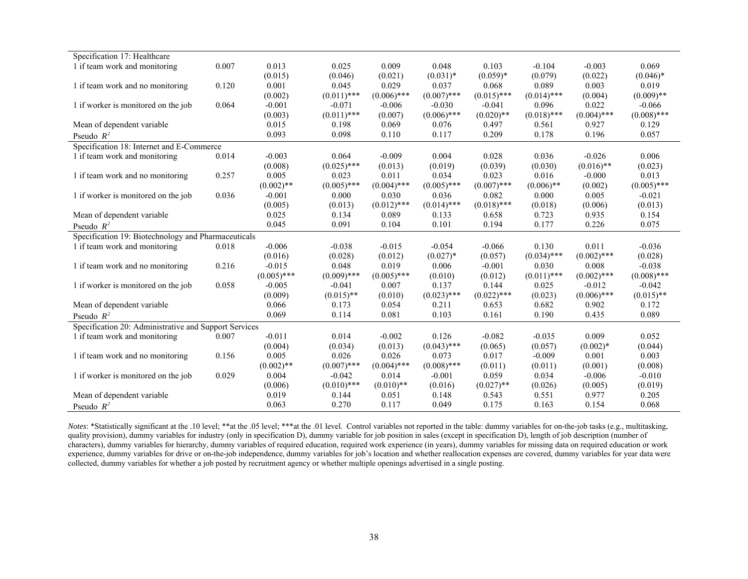| Specification 17: Healthcare                          |       |               |               |               |               |               |               |               |               |
|-------------------------------------------------------|-------|---------------|---------------|---------------|---------------|---------------|---------------|---------------|---------------|
| 1 if team work and monitoring                         | 0.007 | 0.013         | 0.025         | 0.009         | 0.048         | 0.103         | $-0.104$      | $-0.003$      | 0.069         |
|                                                       |       | (0.015)       | (0.046)       | (0.021)       | $(0.031)^*$   | $(0.059)*$    | (0.079)       | (0.022)       | $(0.046)$ *   |
| 1 if team work and no monitoring                      | 0.120 | 0.001         | 0.045         | 0.029         | 0.037         | 0.068         | 0.089         | 0.003         | 0.019         |
|                                                       |       | (0.002)       | $(0.011)$ *** | $(0.006)$ *** | $(0.007)$ *** | $(0.015)$ *** | $(0.014)$ *** | (0.004)       | $(0.009)$ **  |
| 1 if worker is monitored on the job                   | 0.064 | $-0.001$      | $-0.071$      | $-0.006$      | $-0.030$      | $-0.041$      | 0.096         | 0.022         | $-0.066$      |
|                                                       |       | (0.003)       | $(0.011)$ *** | (0.007)       | $(0.006)$ *** | $(0.020)$ **  | $(0.018)$ *** | $(0.004)$ *** | $(0.008)$ *** |
| Mean of dependent variable                            |       | 0.015         | 0.198         | 0.069         | 0.076         | 0.497         | 0.561         | 0.927         | 0.129         |
| Pseudo $R^2$                                          |       | 0.093         | 0.098         | 0.110         | 0.117         | 0.209         | 0.178         | 0.196         | 0.057         |
| Specification 18: Internet and E-Commerce             |       |               |               |               |               |               |               |               |               |
| 1 if team work and monitoring                         | 0.014 | $-0.003$      | 0.064         | $-0.009$      | 0.004         | 0.028         | 0.036         | $-0.026$      | 0.006         |
|                                                       |       | (0.008)       | $(0.025)$ *** | (0.013)       | (0.019)       | (0.039)       | (0.030)       | $(0.016)$ **  | (0.023)       |
| 1 if team work and no monitoring                      | 0.257 | 0.005         | 0.023         | 0.011         | 0.034         | 0.023         | 0.016         | $-0.000$      | 0.013         |
|                                                       |       | $(0.002)$ **  | $(0.005)$ *** | $(0.004)$ *** | $(0.005)$ *** | $(0.007)$ *** | $(0.006)$ **  | (0.002)       | $(0.005)$ *** |
| 1 if worker is monitored on the job                   | 0.036 | $-0.001$      | 0.000         | 0.030         | 0.036         | 0.082         | 0.000         | 0.005         | $-0.021$      |
|                                                       |       | (0.005)       | (0.013)       | $(0.012)$ *** | $(0.014)$ *** | $(0.018)$ *** | (0.018)       | (0.006)       | (0.013)       |
| Mean of dependent variable                            |       | 0.025         | 0.134         | 0.089         | 0.133         | 0.658         | 0.723         | 0.935         | 0.154         |
| Pseudo $R^2$                                          |       | 0.045         | 0.091         | 0.104         | 0.101         | 0.194         | 0.177         | 0.226         | 0.075         |
| Specification 19: Biotechnology and Pharmaceuticals   |       |               |               |               |               |               |               |               |               |
| 1 if team work and monitoring                         | 0.018 | $-0.006$      | $-0.038$      | $-0.015$      | $-0.054$      | $-0.066$      | 0.130         | 0.011         | $-0.036$      |
|                                                       |       | (0.016)       | (0.028)       | (0.012)       | $(0.027)$ *   | (0.057)       | $(0.034)$ *** | $(0.002)$ *** | (0.028)       |
| 1 if team work and no monitoring                      | 0.216 | $-0.015$      | 0.048         | 0.019         | 0.006         | $-0.001$      | 0.030         | 0.008         | $-0.038$      |
|                                                       |       | $(0.005)$ *** | $(0.009)$ *** | $(0.005)$ *** | (0.010)       | (0.012)       | $(0.011)$ *** | $(0.002)$ *** | $(0.008)$ *** |
| 1 if worker is monitored on the job                   | 0.058 | $-0.005$      | $-0.041$      | 0.007         | 0.137         | 0.144         | 0.025         | $-0.012$      | $-0.042$      |
|                                                       |       | (0.009)       | $(0.015)$ **  | (0.010)       | $(0.023)$ *** | $(0.022)$ *** | (0.023)       | $(0.006)$ *** | $(0.015)$ **  |
| Mean of dependent variable                            |       | 0.066         | 0.173         | 0.054         | 0.211         | 0.653         | 0.682         | 0.902         | 0.172         |
| Pseudo $R^2$                                          |       | 0.069         | 0.114         | 0.081         | 0.103         | 0.161         | 0.190         | 0.435         | 0.089         |
| Specification 20: Administrative and Support Services |       |               |               |               |               |               |               |               |               |
| 1 if team work and monitoring                         | 0.007 | $-0.011$      | 0.014         | $-0.002$      | 0.126         | $-0.082$      | $-0.035$      | 0.009         | 0.052         |
|                                                       |       | (0.004)       | (0.034)       | (0.013)       | $(0.043)$ *** | (0.065)       | (0.057)       | $(0.002)*$    | (0.044)       |
| 1 if team work and no monitoring                      | 0.156 | 0.005         | 0.026         | 0.026         | 0.073         | 0.017         | $-0.009$      | 0.001         | 0.003         |
|                                                       |       | $(0.002)$ **  | $(0.007)$ *** | $(0.004)$ *** | $(0.008)$ *** | (0.011)       | (0.011)       | (0.001)       | (0.008)       |
| 1 if worker is monitored on the job                   | 0.029 | 0.004         | $-0.042$      | 0.014         | $-0.001$      | 0.059         | 0.034         | $-0.006$      | $-0.010$      |
|                                                       |       | (0.006)       | $(0.010)$ *** | $(0.010)$ **  | (0.016)       | $(0.027)$ **  | (0.026)       | (0.005)       | (0.019)       |
| Mean of dependent variable                            |       | 0.019         | 0.144         | 0.051         | 0.148         | 0.543         | 0.551         | 0.977         | 0.205         |
| Pseudo $R^2$                                          |       | 0.063         | 0.270         | 0.117         | 0.049         | 0.175         | 0.163         | 0.154         | 0.068         |

*Notes*: \*Statistically significant at the .10 level; \*\*at the .05 level; \*\*\*at the .01 level. Control variables not reported in the table: dummy variables for on-the-job tasks (e.g., multitasking, quality provision), dummy variables for industry (only in specification D), dummy variable for job position in sales (except in specification D), length of job description (number of characters), dummy variables for hierarchy, dummy variables of required education, required work experience (in years), dummy variables for missing data on required education or work experience, dummy variables for drive or on-the-job independence, dummy variables for job's location and whether reallocation expenses are covered, dummy variables for year data were collected, dummy variables for whether a job posted by recruitment agency or whether multiple openings advertised in a single posting.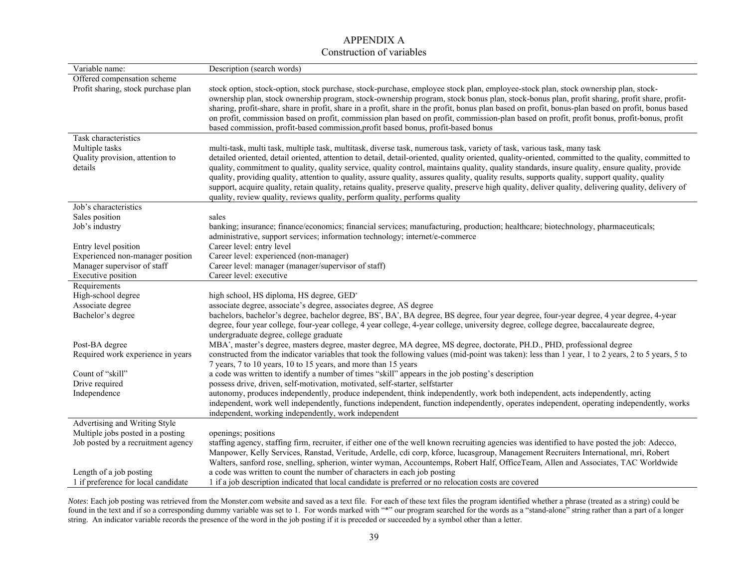#### APPENDIX A Construction of variables

| Variable name:                                               | Description (search words)                                                                                                                                                                                                                                                                                                                                                                                                                                                                                                                                                                                                                                                                                                                                                                                                  |
|--------------------------------------------------------------|-----------------------------------------------------------------------------------------------------------------------------------------------------------------------------------------------------------------------------------------------------------------------------------------------------------------------------------------------------------------------------------------------------------------------------------------------------------------------------------------------------------------------------------------------------------------------------------------------------------------------------------------------------------------------------------------------------------------------------------------------------------------------------------------------------------------------------|
| Offered compensation scheme                                  |                                                                                                                                                                                                                                                                                                                                                                                                                                                                                                                                                                                                                                                                                                                                                                                                                             |
| Profit sharing, stock purchase plan                          | stock option, stock-option, stock purchase, stock-purchase, employee stock plan, employee-stock plan, stock ownership plan, stock-<br>ownership plan, stock ownership program, stock-ownership program, stock bonus plan, stock-bonus plan, profit sharing, profit share, profit-<br>sharing, profit-share, share in profit, share in a profit, share in the profit, bonus plan based on profit, bonus-plan based on profit, bonus based<br>on profit, commission based on profit, commission plan based on profit, commission-plan based on profit, profit bonus, profit-bonus, profit<br>based commission, profit-based commission, profit based bonus, profit-based bonus                                                                                                                                                |
| Task characteristics                                         |                                                                                                                                                                                                                                                                                                                                                                                                                                                                                                                                                                                                                                                                                                                                                                                                                             |
| Multiple tasks<br>Quality provision, attention to<br>details | multi-task, multi task, multiple task, multitask, diverse task, numerous task, variety of task, various task, many task<br>detailed oriented, detail oriented, attention to detail, detail-oriented, quality oriented, quality-oriented, committed to the quality, committed to<br>quality, commitment to quality, quality service, quality control, maintains quality, quality standards, insure quality, ensure quality, provide<br>quality, providing quality, attention to quality, assure quality, assures quality, quality results, supports quality, support quality, quality<br>support, acquire quality, retain quality, retains quality, preserve quality, preserve high quality, deliver quality, delivering quality, delivery of<br>quality, review quality, reviews quality, perform quality, performs quality |
| Job's characteristics                                        |                                                                                                                                                                                                                                                                                                                                                                                                                                                                                                                                                                                                                                                                                                                                                                                                                             |
| Sales position                                               | sales                                                                                                                                                                                                                                                                                                                                                                                                                                                                                                                                                                                                                                                                                                                                                                                                                       |
| Job's industry                                               | banking; insurance; finance/economics; financial services; manufacturing, production; healthcare; biotechnology, pharmaceuticals;<br>administrative, support services; information technology; internet/e-commerce                                                                                                                                                                                                                                                                                                                                                                                                                                                                                                                                                                                                          |
| Entry level position                                         | Career level: entry level                                                                                                                                                                                                                                                                                                                                                                                                                                                                                                                                                                                                                                                                                                                                                                                                   |
| Experienced non-manager position                             | Career level: experienced (non-manager)                                                                                                                                                                                                                                                                                                                                                                                                                                                                                                                                                                                                                                                                                                                                                                                     |
| Manager supervisor of staff                                  | Career level: manager (manager/supervisor of staff)                                                                                                                                                                                                                                                                                                                                                                                                                                                                                                                                                                                                                                                                                                                                                                         |
| Executive position                                           | Career level: executive                                                                                                                                                                                                                                                                                                                                                                                                                                                                                                                                                                                                                                                                                                                                                                                                     |
| Requirements                                                 |                                                                                                                                                                                                                                                                                                                                                                                                                                                                                                                                                                                                                                                                                                                                                                                                                             |
| High-school degree                                           | high school, HS diploma, HS degree, GED*                                                                                                                                                                                                                                                                                                                                                                                                                                                                                                                                                                                                                                                                                                                                                                                    |
| Associate degree                                             | associate degree, associate's degree, associates degree, AS degree                                                                                                                                                                                                                                                                                                                                                                                                                                                                                                                                                                                                                                                                                                                                                          |
| Bachelor's degree                                            | bachelors, bachelor's degree, bachelor degree, BS', BA', BA degree, BS degree, four year degree, four-year degree, 4 year degree, 4-year<br>degree, four year college, four-year college, 4 year college, 4-year college, university degree, college degree, baccalaureate degree,<br>undergraduate degree, college graduate                                                                                                                                                                                                                                                                                                                                                                                                                                                                                                |
| Post-BA degree                                               | MBA*, master's degree, masters degree, master degree, MA degree, MS degree, doctorate, PH.D., PHD, professional degree                                                                                                                                                                                                                                                                                                                                                                                                                                                                                                                                                                                                                                                                                                      |
| Required work experience in years                            | constructed from the indicator variables that took the following values (mid-point was taken): less than 1 year, 1 to 2 years, 2 to 5 years, 5 to<br>7 years, 7 to 10 years, 10 to 15 years, and more than 15 years                                                                                                                                                                                                                                                                                                                                                                                                                                                                                                                                                                                                         |
| Count of "skill"                                             | a code was written to identify a number of times "skill" appears in the job posting's description                                                                                                                                                                                                                                                                                                                                                                                                                                                                                                                                                                                                                                                                                                                           |
| Drive required                                               | possess drive, driven, self-motivation, motivated, self-starter, selfstarter                                                                                                                                                                                                                                                                                                                                                                                                                                                                                                                                                                                                                                                                                                                                                |
| Independence                                                 | autonomy, produces independently, produce independent, think independently, work both independent, acts independently, acting<br>independent, work well independently, functions independent, function independently, operates independent, operating independently, works<br>independent, working independently, work independent                                                                                                                                                                                                                                                                                                                                                                                                                                                                                          |
| Advertising and Writing Style                                |                                                                                                                                                                                                                                                                                                                                                                                                                                                                                                                                                                                                                                                                                                                                                                                                                             |
| Multiple jobs posted in a posting                            | openings; positions                                                                                                                                                                                                                                                                                                                                                                                                                                                                                                                                                                                                                                                                                                                                                                                                         |
| Job posted by a recruitment agency                           | staffing agency, staffing firm, recruiter, if either one of the well known recruiting agencies was identified to have posted the job: Adecco,                                                                                                                                                                                                                                                                                                                                                                                                                                                                                                                                                                                                                                                                               |
|                                                              | Manpower, Kelly Services, Ranstad, Veritude, Ardelle, cdi corp, kforce, lucasgroup, Management Recruiters International, mri, Robert                                                                                                                                                                                                                                                                                                                                                                                                                                                                                                                                                                                                                                                                                        |
|                                                              | Walters, sanford rose, snelling, spherion, winter wyman, Accountemps, Robert Half, OfficeTeam, Allen and Associates, TAC Worldwide                                                                                                                                                                                                                                                                                                                                                                                                                                                                                                                                                                                                                                                                                          |
| Length of a job posting                                      | a code was written to count the number of characters in each job posting                                                                                                                                                                                                                                                                                                                                                                                                                                                                                                                                                                                                                                                                                                                                                    |
| 1 if preference for local candidate                          | 1 if a job description indicated that local candidate is preferred or no relocation costs are covered                                                                                                                                                                                                                                                                                                                                                                                                                                                                                                                                                                                                                                                                                                                       |

*Notes*: Each job posting was retrieved from the Monster.com website and saved as a text file. For each of these text files the program identified whether a phrase (treated as a string) could be found in the text and if so a corresponding dummy variable was set to 1. For words marked with "\*" our program searched for the words as a "stand-alone" string rather than a part of a longer string. An indicator variable records the presence of the word in the job posting if it is preceded or succeeded by a symbol other than a letter.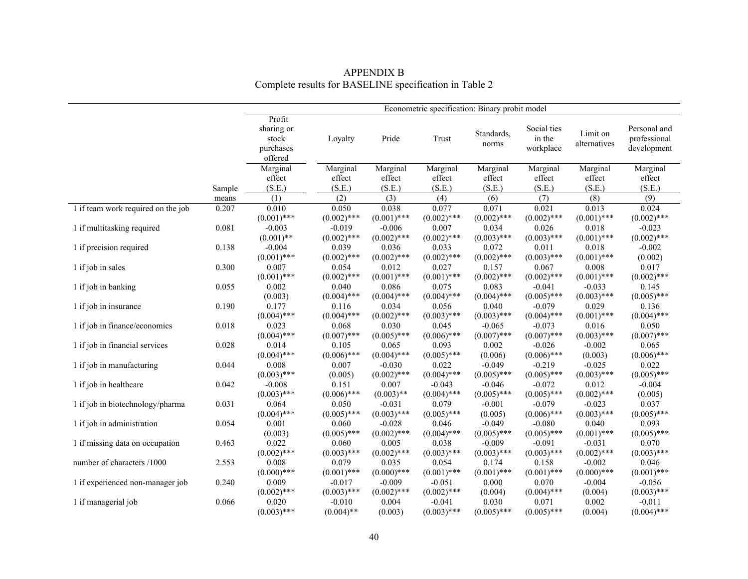|                                    |        | Econometric specification: Binary probit model        |               |               |                        |                     |                                    |                          |                                             |  |
|------------------------------------|--------|-------------------------------------------------------|---------------|---------------|------------------------|---------------------|------------------------------------|--------------------------|---------------------------------------------|--|
|                                    |        | Profit<br>sharing or<br>stock<br>purchases<br>offered | Loyalty       | Pride         | $\operatorname{Trust}$ | Standards,<br>norms | Social ties<br>in the<br>workplace | Limit on<br>alternatives | Personal and<br>professional<br>development |  |
|                                    |        | Marginal                                              | Marginal      | Marginal      | Marginal               | Marginal            | Marginal                           | Marginal                 | Marginal                                    |  |
|                                    |        | effect                                                | effect        | effect        | effect                 | effect              | effect                             | effect                   | effect                                      |  |
|                                    | Sample | (S.E.)                                                | (S.E.)        | (S.E.)        | (S.E.)                 | (S.E.)              | (S.E.)                             | (S.E.)                   | (S.E.)                                      |  |
|                                    | means  | (1)                                                   | (2)           | (3)           | (4)                    | (6)                 | (7)                                | (8)                      | (9)                                         |  |
| 1 if team work required on the job | 0.207  | 0.010                                                 | 0.050         | 0.038         | 0.077                  | 0.071               | 0.021                              | 0.013                    | 0.024                                       |  |
|                                    |        | $(0.001)$ ***                                         | $(0.002)$ *** | $(0.001)$ *** | $(0.002)$ ***          | $(0.002)$ ***       | $(0.002)$ ***                      | $(0.001)$ ***            | $(0.002)$ ***                               |  |
| 1 if multitasking required         | 0.081  | $-0.003$                                              | $-0.019$      | $-0.006$      | 0.007                  | 0.034               | 0.026                              | 0.018                    | $-0.023$                                    |  |
|                                    |        | $(0.001)$ **                                          | $(0.002)$ *** | $(0.002)$ *** | $(0.002)$ ***          | $(0.003)$ ***       | $(0.003)$ ***                      | $(0.001)$ ***            | $(0.002)$ ***                               |  |
| 1 if precision required            | 0.138  | $-0.004$                                              | 0.039         | 0.036         | 0.033                  | 0.072               | 0.011                              | 0.018                    | $-0.002$                                    |  |
|                                    |        | $(0.001)$ ***                                         | $(0.002)$ *** | $(0.002)$ *** | $(0.002)$ ***          | $(0.002)$ ***       | $(0.003)$ ***                      | $(0.001)$ ***            | (0.002)                                     |  |
| 1 if job in sales                  | 0.300  | 0.007                                                 | 0.054         | 0.012         | 0.027                  | 0.157               | 0.067                              | 0.008                    | 0.017                                       |  |
|                                    |        | $(0.001)$ ***                                         | $(0.002)$ *** | $(0.001)$ *** | $(0.001)$ ***          | $(0.002)$ ***       | $(0.002)$ ***                      | $(0.001)$ ***            | $(0.002)$ ***                               |  |
| 1 if job in banking                | 0.055  | 0.002                                                 | 0.040         | 0.086         | 0.075                  | 0.083               | $-0.041$                           | $-0.033$                 | 0.145                                       |  |
|                                    |        | (0.003)                                               | $(0.004)$ *** | $(0.004)$ *** | $(0.004)$ ***          | $(0.004)$ ***       | $(0.005)$ ***                      | $(0.003)$ ***            | $(0.005)$ ***                               |  |
| 1 if job in insurance              | 0.190  | 0.177                                                 | 0.116         | 0.034         | 0.056                  | 0.040               | $-0.079$                           | 0.029                    | 0.136                                       |  |
|                                    |        | $(0.004)$ ***                                         | $(0.004)$ *** | $(0.002)$ *** | $(0.003)$ ***          | $(0.003)$ ***       | $(0.004)$ ***                      | $(0.001)$ ***            | $(0.004)$ ***                               |  |
| 1 if job in finance/economics      | 0.018  | 0.023                                                 | 0.068         | 0.030         | 0.045                  | $-0.065$            | $-0.073$                           | 0.016                    | 0.050                                       |  |
|                                    |        | $(0.004)$ ***                                         | $(0.007)$ *** | $(0.005)$ *** | $(0.006)$ ***          | $(0.007)$ ***       | $(0.007)$ ***                      | $(0.003)$ ***            | $(0.007)$ ***                               |  |
| 1 if job in financial services     | 0.028  | 0.014                                                 | 0.105         | 0.065         | 0.093                  | 0.002               | $-0.026$                           | $-0.002$                 | 0.065                                       |  |
|                                    |        | $(0.004)$ ***                                         | $(0.006)$ *** | $(0.004)$ *** | $(0.005)$ ***          | (0.006)             | $(0.006)$ ***                      | (0.003)                  | $(0.006)$ ***                               |  |
| 1 if job in manufacturing          | 0.044  | 0.008                                                 | 0.007         | $-0.030$      | 0.022                  | $-0.049$            | $-0.219$                           | $-0.025$                 | 0.022                                       |  |
|                                    |        | $(0.003)$ ***                                         | (0.005)       | $(0.002)$ *** | $(0.004)$ ***          | $(0.005)$ ***       | $(0.005)$ ***                      | $(0.003)$ ***            | $(0.005)$ ***                               |  |
| 1 if job in healthcare             | 0.042  | $-0.008$                                              | 0.151         | 0.007         | $-0.043$               | $-0.046$            | $-0.072$                           | 0.012                    | $-0.004$                                    |  |
|                                    |        | $(0.003)$ ***                                         | $(0.006)$ *** | $(0.003)$ **  | $(0.004)$ ***          | $(0.005)$ ***       | $(0.005)$ ***                      | $(0.002)$ ***            | (0.005)                                     |  |
| 1 if job in biotechnology/pharma   | 0.031  | 0.064                                                 | 0.050         | $-0.031$      | 0.079                  | $-0.001$            | $-0.079$                           | $-0.023$                 | 0.037                                       |  |
|                                    |        | $(0.004)$ ***                                         | $(0.005)$ *** | $(0.003)$ *** | $(0.005)$ ***          | (0.005)             | $(0.006)$ ***                      | $(0.003)$ ***            | $(0.005)$ ***                               |  |
| 1 if job in administration         | 0.054  | 0.001                                                 | 0.060         | $-0.028$      | 0.046                  | $-0.049$            | $-0.080$                           | 0.040                    | 0.093                                       |  |
|                                    |        | (0.003)                                               | $(0.005)$ *** | $(0.002)$ *** | $(0.004)$ ***          | $(0.005)$ ***       | $(0.005)$ ***                      | $(0.001)$ ***            | $(0.005)$ ***                               |  |
| 1 if missing data on occupation    | 0.463  | 0.022                                                 | 0.060         | 0.005         | 0.038                  | $-0.009$            | $-0.091$                           | $-0.031$                 | 0.070                                       |  |
|                                    |        | $(0.002)$ ***                                         | $(0.003)$ *** | $(0.002)$ *** | $(0.003)$ ***          | $(0.003)$ ***       | $(0.003)$ ***                      | $(0.002)$ ***            | $(0.003)$ ***                               |  |
| number of characters /1000         | 2.553  | 0.008                                                 | 0.079         | 0.035         | 0.054                  | 0.174               | 0.158                              | $-0.002$                 | 0.046                                       |  |
|                                    |        | $(0.000)$ ***                                         | $(0.001)$ *** | $(0.000)$ *** | $(0.001)$ ***          | $(0.001)$ ***       | $(0.001)$ ***                      | $(0.000)$ ***            | $(0.001)$ ***                               |  |
| 1 if experienced non-manager job   | 0.240  | 0.009                                                 | $-0.017$      | $-0.009$      | $-0.051$               | 0.000               | 0.070                              | $-0.004$                 | $-0.056$                                    |  |
|                                    |        | $(0.002)$ ***                                         | $(0.003)$ *** | $(0.002)$ *** | $(0.002)$ ***          | (0.004)             | $(0.004)$ ***                      | (0.004)                  | $(0.003)$ ***                               |  |
| 1 if managerial job                | 0.066  | 0.020                                                 | $-0.010$      | 0.004         | $-0.041$               | 0.030               | 0.071                              | 0.002                    | $-0.011$                                    |  |
|                                    |        | $(0.003)$ ***                                         | $(0.004)$ **  | (0.003)       | $(0.003)$ ***          | $(0.005)$ ***       | $(0.005)$ ***                      | (0.004)                  | $(0.004)$ ***                               |  |

APPENDIX B<br>Complete results for BASELINE specification in Table 2